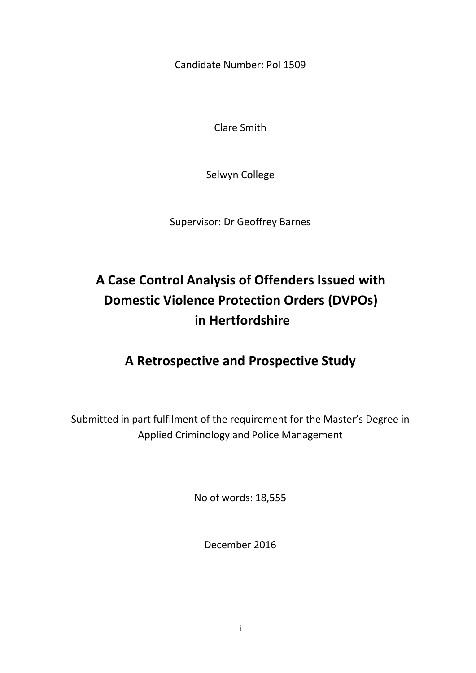Candidate Number: Pol 1509

Clare Smith

Selwyn College

Supervisor: Dr Geoffrey Barnes

# **A Case Control Analysis of Offenders Issued with Domestic Violence Protection Orders (DVPOs) in Hertfordshire**

## **A Retrospective and Prospective Study**

Submitted in part fulfilment of the requirement for the Master's Degree in Applied Criminology and Police Management

No of words: 18,555

December 2016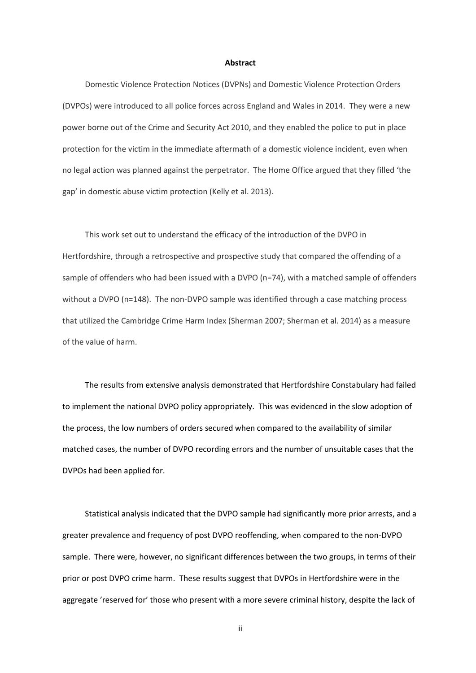#### **Abstract**

Domestic Violence Protection Notices (DVPNs) and Domestic Violence Protection Orders (DVPOs) were introduced to all police forces across England and Wales in 2014. They were a new power borne out of the Crime and Security Act 2010, and they enabled the police to put in place protection for the victim in the immediate aftermath of a domestic violence incident, even when no legal action was planned against the perpetrator. The Home Office argued that they filled 'the gap' in domestic abuse victim protection (Kelly et al. 2013).

This work set out to understand the efficacy of the introduction of the DVPO in Hertfordshire, through a retrospective and prospective study that compared the offending of a sample of offenders who had been issued with a DVPO (n=74), with a matched sample of offenders without a DVPO (n=148). The non-DVPO sample was identified through a case matching process that utilized the Cambridge Crime Harm Index (Sherman 2007; Sherman et al. 2014) as a measure of the value of harm.

The results from extensive analysis demonstrated that Hertfordshire Constabulary had failed to implement the national DVPO policy appropriately. This was evidenced in the slow adoption of the process, the low numbers of orders secured when compared to the availability of similar matched cases, the number of DVPO recording errors and the number of unsuitable cases that the DVPOs had been applied for.

Statistical analysis indicated that the DVPO sample had significantly more prior arrests, and a greater prevalence and frequency of post DVPO reoffending, when compared to the non-DVPO sample. There were, however, no significant differences between the two groups, in terms of their prior or post DVPO crime harm. These results suggest that DVPOs in Hertfordshire were in the aggregate 'reserved for' those who present with a more severe criminal history, despite the lack of

ii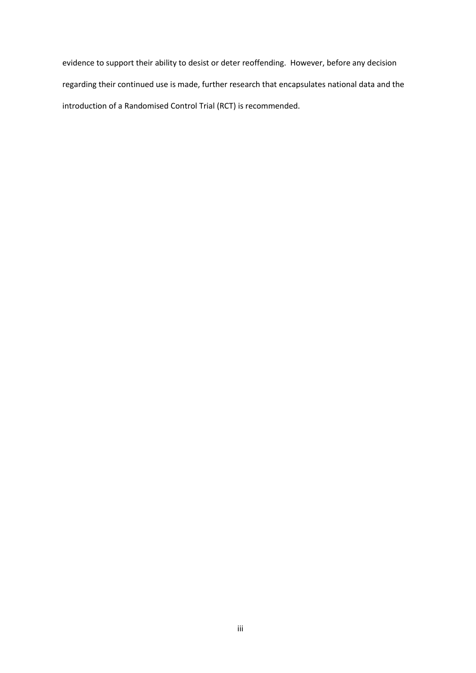evidence to support their ability to desist or deter reoffending. However, before any decision regarding their continued use is made, further research that encapsulates national data and the introduction of a Randomised Control Trial (RCT) is recommended.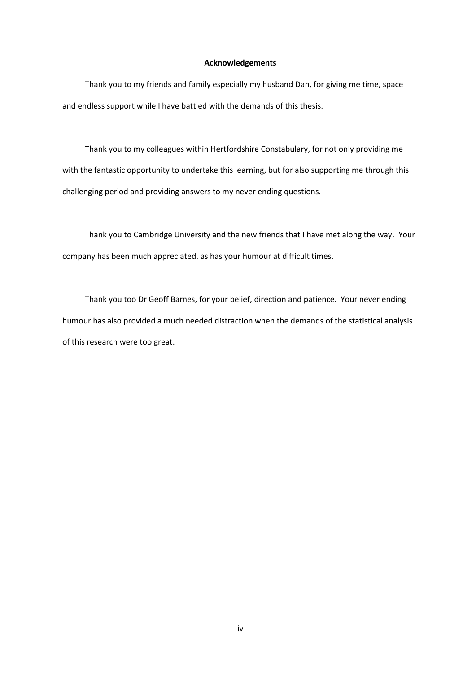#### **Acknowledgements**

Thank you to my friends and family especially my husband Dan, for giving me time, space and endless support while I have battled with the demands of this thesis.

Thank you to my colleagues within Hertfordshire Constabulary, for not only providing me with the fantastic opportunity to undertake this learning, but for also supporting me through this challenging period and providing answers to my never ending questions.

Thank you to Cambridge University and the new friends that I have met along the way. Your company has been much appreciated, as has your humour at difficult times.

Thank you too Dr Geoff Barnes, for your belief, direction and patience. Your never ending humour has also provided a much needed distraction when the demands of the statistical analysis of this research were too great.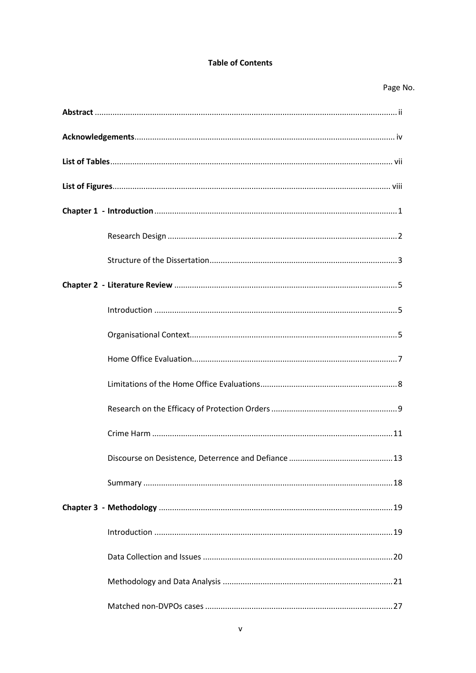### **Table of Contents**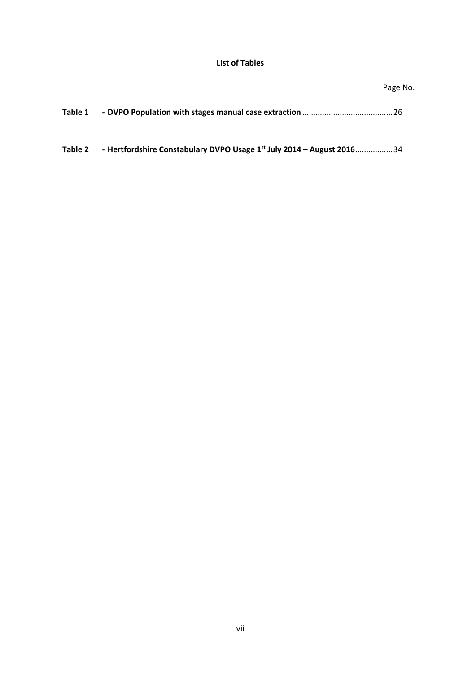### **List of Tables**

## Page No.

| Table 1 |  |  |
|---------|--|--|
|---------|--|--|

**Table 2 - Hertfordshire Constabulary DVPO Usage 1st July 2014 – August 2016**.................34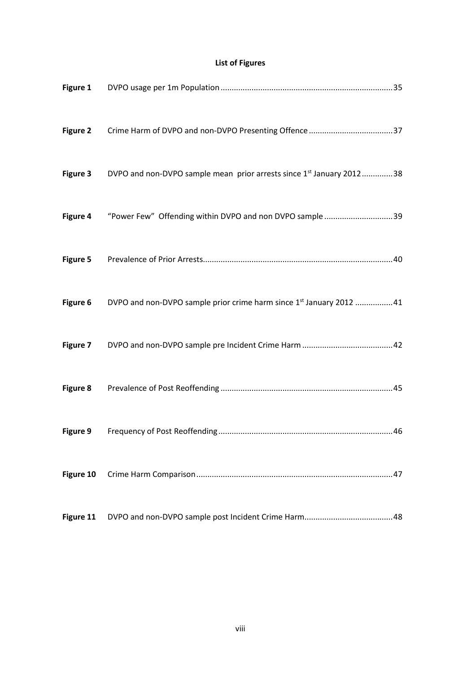## **List of Figures**

| Figure 2  |                                                                                           |  |
|-----------|-------------------------------------------------------------------------------------------|--|
|           | Figure 3 DVPO and non-DVPO sample mean prior arrests since 1 <sup>st</sup> January 201238 |  |
|           | Figure 4 "Power Few" Offending within DVPO and non DVPO sample 39                         |  |
|           |                                                                                           |  |
|           | Figure 6 DVPO and non-DVPO sample prior crime harm since 1st January 2012 41              |  |
|           |                                                                                           |  |
|           |                                                                                           |  |
|           |                                                                                           |  |
| Figure 10 |                                                                                           |  |
| Figure 11 |                                                                                           |  |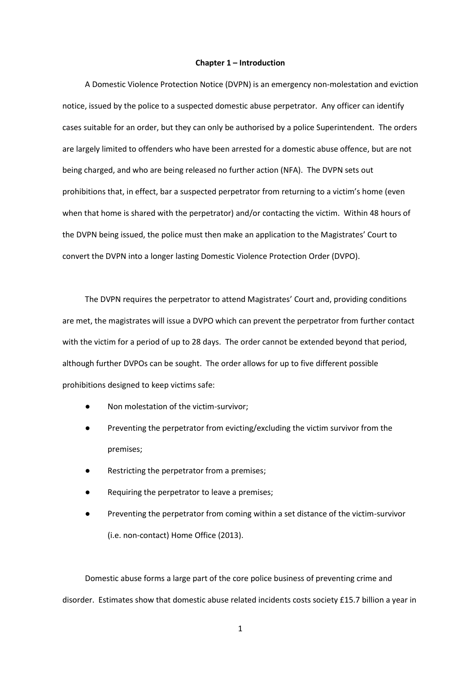#### **Chapter 1 – Introduction**

A Domestic Violence Protection Notice (DVPN) is an emergency non-molestation and eviction notice, issued by the police to a suspected domestic abuse perpetrator. Any officer can identify cases suitable for an order, but they can only be authorised by a police Superintendent. The orders are largely limited to offenders who have been arrested for a domestic abuse offence, but are not being charged, and who are being released no further action (NFA). The DVPN sets out prohibitions that, in effect, bar a suspected perpetrator from returning to a victim's home (even when that home is shared with the perpetrator) and/or contacting the victim. Within 48 hours of the DVPN being issued, the police must then make an application to the Magistrates' Court to convert the DVPN into a longer lasting Domestic Violence Protection Order (DVPO).

The DVPN requires the perpetrator to attend Magistrates' Court and, providing conditions are met, the magistrates will issue a DVPO which can prevent the perpetrator from further contact with the victim for a period of up to 28 days. The order cannot be extended beyond that period, although further DVPOs can be sought. The order allows for up to five different possible prohibitions designed to keep victims safe:

- Non molestation of the victim-survivor;
- Preventing the perpetrator from evicting/excluding the victim survivor from the premises;
- Restricting the perpetrator from a premises;
- Requiring the perpetrator to leave a premises;
- Preventing the perpetrator from coming within a set distance of the victim-survivor (i.e. non-contact) Home Office (2013).

Domestic abuse forms a large part of the core police business of preventing crime and disorder. Estimates show that domestic abuse related incidents costs society £15.7 billion a year in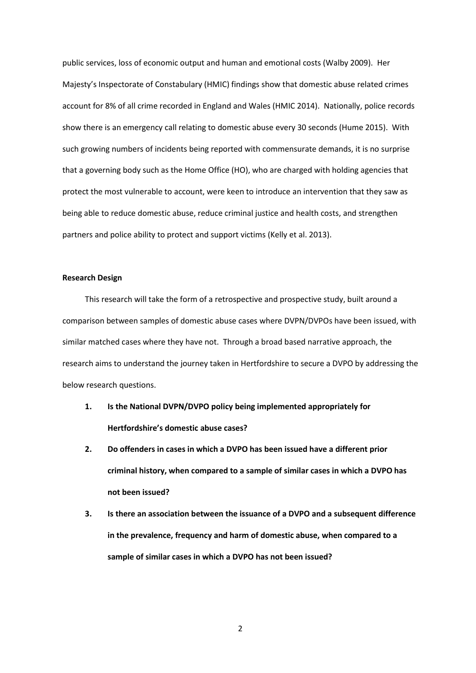public services, loss of economic output and human and emotional costs (Walby 2009). Her Majesty's Inspectorate of Constabulary (HMIC) findings show that domestic abuse related crimes account for 8% of all crime recorded in England and Wales (HMIC 2014). Nationally, police records show there is an emergency call relating to domestic abuse every 30 seconds (Hume 2015). With such growing numbers of incidents being reported with commensurate demands, it is no surprise that a governing body such as the Home Office (HO), who are charged with holding agencies that protect the most vulnerable to account, were keen to introduce an intervention that they saw as being able to reduce domestic abuse, reduce criminal justice and health costs, and strengthen partners and police ability to protect and support victims (Kelly et al. 2013).

#### **Research Design**

This research will take the form of a retrospective and prospective study, built around a comparison between samples of domestic abuse cases where DVPN/DVPOs have been issued, with similar matched cases where they have not. Through a broad based narrative approach, the research aims to understand the journey taken in Hertfordshire to secure a DVPO by addressing the below research questions.

- **1. Is the National DVPN/DVPO policy being implemented appropriately for Hertfordshire's domestic abuse cases?**
- **2. Do offenders in cases in which a DVPO has been issued have a different prior criminal history, when compared to a sample of similar cases in which a DVPO has not been issued?**
- **3. Is there an association between the issuance of a DVPO and a subsequent difference in the prevalence, frequency and harm of domestic abuse, when compared to a sample of similar cases in which a DVPO has not been issued?**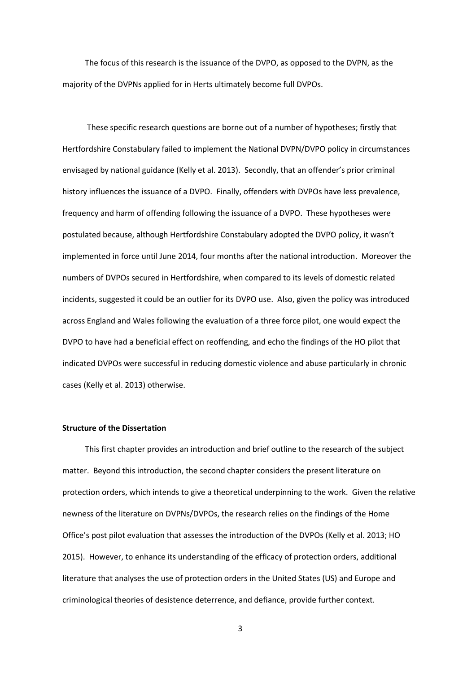The focus of this research is the issuance of the DVPO, as opposed to the DVPN, as the majority of the DVPNs applied for in Herts ultimately become full DVPOs.

These specific research questions are borne out of a number of hypotheses; firstly that Hertfordshire Constabulary failed to implement the National DVPN/DVPO policy in circumstances envisaged by national guidance (Kelly et al. 2013). Secondly, that an offender's prior criminal history influences the issuance of a DVPO. Finally, offenders with DVPOs have less prevalence, frequency and harm of offending following the issuance of a DVPO. These hypotheses were postulated because, although Hertfordshire Constabulary adopted the DVPO policy, it wasn't implemented in force until June 2014, four months after the national introduction. Moreover the numbers of DVPOs secured in Hertfordshire, when compared to its levels of domestic related incidents, suggested it could be an outlier for its DVPO use. Also, given the policy was introduced across England and Wales following the evaluation of a three force pilot, one would expect the DVPO to have had a beneficial effect on reoffending, and echo the findings of the HO pilot that indicated DVPOs were successful in reducing domestic violence and abuse particularly in chronic cases (Kelly et al. 2013) otherwise.

#### **Structure of the Dissertation**

This first chapter provides an introduction and brief outline to the research of the subject matter. Beyond this introduction, the second chapter considers the present literature on protection orders, which intends to give a theoretical underpinning to the work. Given the relative newness of the literature on DVPNs/DVPOs, the research relies on the findings of the Home Office's post pilot evaluation that assesses the introduction of the DVPOs (Kelly et al. 2013; HO 2015). However, to enhance its understanding of the efficacy of protection orders, additional literature that analyses the use of protection orders in the United States (US) and Europe and criminological theories of desistence deterrence, and defiance, provide further context.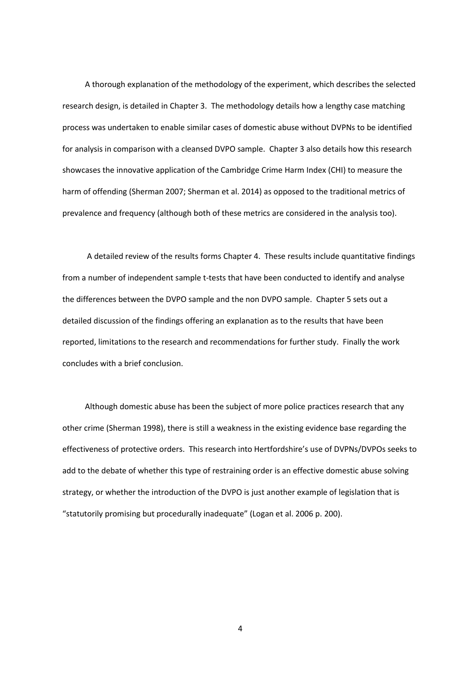A thorough explanation of the methodology of the experiment, which describes the selected research design, is detailed in Chapter 3. The methodology details how a lengthy case matching process was undertaken to enable similar cases of domestic abuse without DVPNs to be identified for analysis in comparison with a cleansed DVPO sample. Chapter 3 also details how this research showcases the innovative application of the Cambridge Crime Harm Index (CHI) to measure the harm of offending (Sherman 2007; Sherman et al. 2014) as opposed to the traditional metrics of prevalence and frequency (although both of these metrics are considered in the analysis too).

A detailed review of the results forms Chapter 4. These results include quantitative findings from a number of independent sample t-tests that have been conducted to identify and analyse the differences between the DVPO sample and the non DVPO sample. Chapter 5 sets out a detailed discussion of the findings offering an explanation as to the results that have been reported, limitations to the research and recommendations for further study. Finally the work concludes with a brief conclusion.

Although domestic abuse has been the subject of more police practices research that any other crime (Sherman 1998), there is still a weakness in the existing evidence base regarding the effectiveness of protective orders. This research into Hertfordshire's use of DVPNs/DVPOs seeks to add to the debate of whether this type of restraining order is an effective domestic abuse solving strategy, or whether the introduction of the DVPO is just another example of legislation that is "statutorily promising but procedurally inadequate" (Logan et al. 2006 p. 200).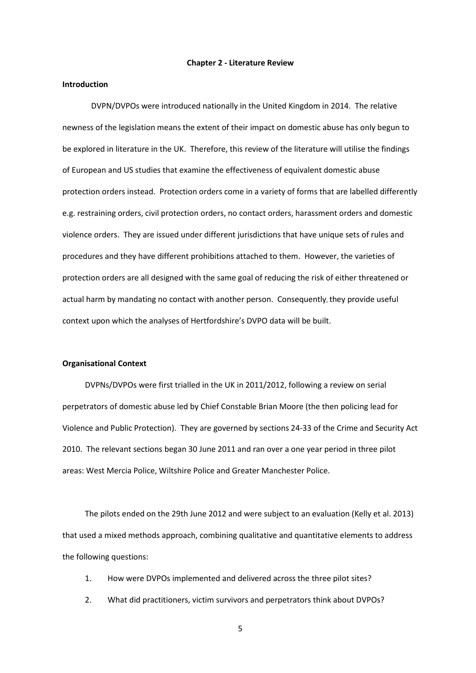#### **Chapter 2 - Literature Review**

#### **Introduction**

DVPN/DVPOs were introduced nationally in the United Kingdom in 2014. The relative newness of the legislation means the extent of their impact on domestic abuse has only begun to be explored in literature in the UK. Therefore, this review of the literature will utilise the findings of European and US studies that examine the effectiveness of equivalent domestic abuse protection orders instead. Protection orders come in a variety of forms that are labelled differently e.g. restraining orders, civil protection orders, no contact orders, harassment orders and domestic violence orders. They are issued under different jurisdictions that have unique sets of rules and procedures and they have different prohibitions attached to them. However, the varieties of protection orders are all designed with the same goal of reducing the risk of either threatened or actual harm by mandating no contact with another person. Consequently, they provide useful context upon which the analyses of Hertfordshire's DVPO data will be built.

#### **Organisational Context**

DVPNs/DVPOs were first trialled in the UK in 2011/2012, following a review on serial perpetrators of domestic abuse led by Chief Constable Brian Moore (the then policing lead for Violence and Public Protection). They are governed by sections 24-33 of the Crime and Security Act 2010. The relevant sections began 30 June 2011 and ran over a one year period in three pilot areas: West Mercia Police, Wiltshire Police and Greater Manchester Police.

The pilots ended on the 29th June 2012 and were subject to an evaluation (Kelly et al. 2013) that used a mixed methods approach, combining qualitative and quantitative elements to address the following questions:

- 1. How were DVPOs implemented and delivered across the three pilot sites?
- 2. What did practitioners, victim survivors and perpetrators think about DVPOs?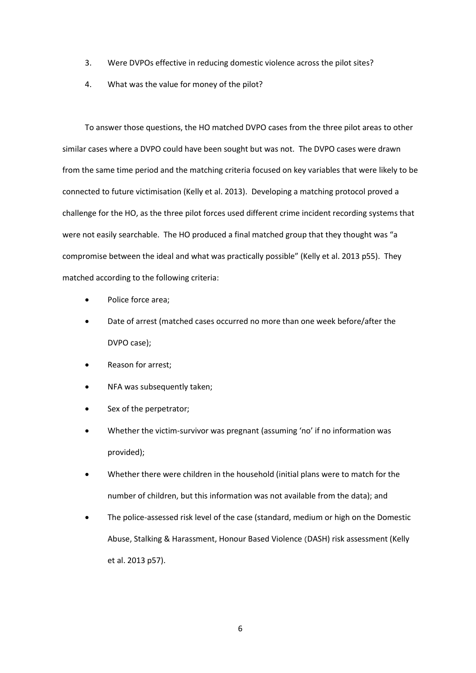- 3. Were DVPOs effective in reducing domestic violence across the pilot sites?
- 4. What was the value for money of the pilot?

To answer those questions, the HO matched DVPO cases from the three pilot areas to other similar cases where a DVPO could have been sought but was not. The DVPO cases were drawn from the same time period and the matching criteria focused on key variables that were likely to be connected to future victimisation (Kelly et al. 2013). Developing a matching protocol proved a challenge for the HO, as the three pilot forces used different crime incident recording systems that were not easily searchable. The HO produced a final matched group that they thought was "a compromise between the ideal and what was practically possible" (Kelly et al. 2013 p55). They matched according to the following criteria:

- Police force area;
- Date of arrest (matched cases occurred no more than one week before/after the DVPO case);
- Reason for arrest;
- NFA was subsequently taken;
- Sex of the perpetrator;
- Whether the victim-survivor was pregnant (assuming 'no' if no information was provided);
- Whether there were children in the household (initial plans were to match for the number of children, but this information was not available from the data); and
- The police-assessed risk level of the case (standard, medium or high on the Domestic Abuse, Stalking & Harassment, Honour Based Violence (DASH) risk assessment (Kelly et al. 2013 p57).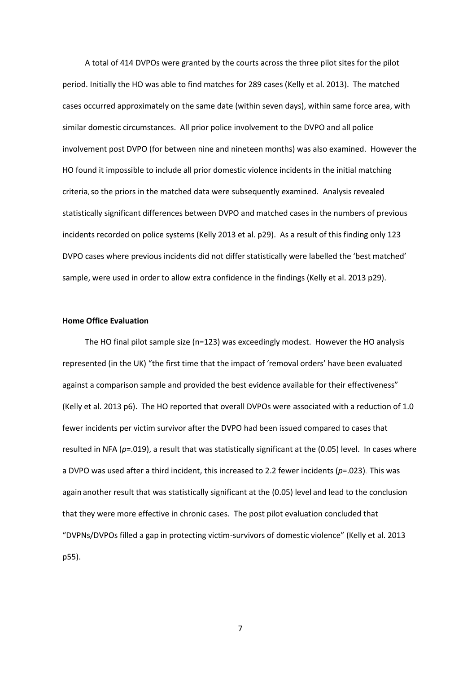A total of 414 DVPOs were granted by the courts across the three pilot sites for the pilot period. Initially the HO was able to find matches for 289 cases (Kelly et al. 2013). The matched cases occurred approximately on the same date (within seven days), within same force area, with similar domestic circumstances. All prior police involvement to the DVPO and all police involvement post DVPO (for between nine and nineteen months) was also examined. However the HO found it impossible to include all prior domestic violence incidents in the initial matching criteria, so the priors in the matched data were subsequently examined. Analysis revealed statistically significant differences between DVPO and matched cases in the numbers of previous incidents recorded on police systems (Kelly 2013 et al. p29). As a result of this finding only 123 DVPO cases where previous incidents did not differ statistically were labelled the 'best matched' sample, were used in order to allow extra confidence in the findings (Kelly et al. 2013 p29).

#### **Home Office Evaluation**

The HO final pilot sample size (n=123) was exceedingly modest. However the HO analysis represented (in the UK) "the first time that the impact of 'removal orders' have been evaluated against a comparison sample and provided the best evidence available for their effectiveness" (Kelly et al. 2013 p6). The HO reported that overall DVPOs were associated with a reduction of 1.0 fewer incidents per victim survivor after the DVPO had been issued compared to cases that resulted in NFA (*p*=.019), a result that was statistically significant at the (0.05) level. In cases where a DVPO was used after a third incident, this increased to 2.2 fewer incidents (*p*=.023). This was again another result that was statistically significant at the (0.05) level and lead to the conclusion that they were more effective in chronic cases. The post pilot evaluation concluded that "DVPNs/DVPOs filled a gap in protecting victim-survivors of domestic violence" (Kelly et al. 2013 p55).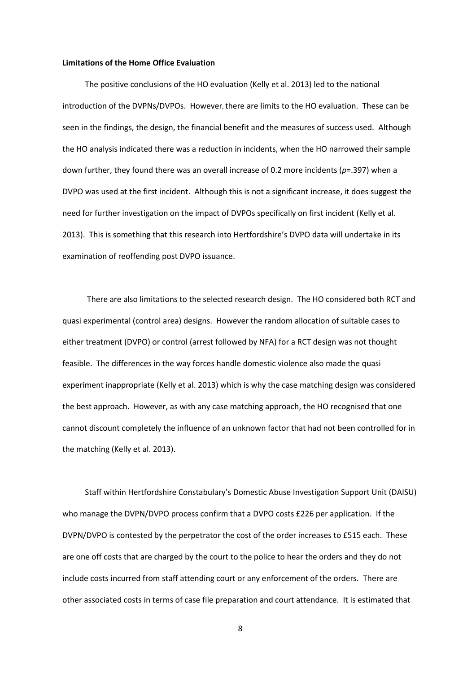#### **Limitations of the Home Office Evaluation**

The positive conclusions of the HO evaluation (Kelly et al. 2013) led to the national introduction of the DVPNs/DVPOs. However, there are limits to the HO evaluation. These can be seen in the findings, the design, the financial benefit and the measures of success used. Although the HO analysis indicated there was a reduction in incidents, when the HO narrowed their sample down further, they found there was an overall increase of 0.2 more incidents (*p*=.397) when a DVPO was used at the first incident. Although this is not a significant increase, it does suggest the need for further investigation on the impact of DVPOs specifically on first incident (Kelly et al. 2013). This is something that this research into Hertfordshire's DVPO data will undertake in its examination of reoffending post DVPO issuance.

There are also limitations to the selected research design. The HO considered both RCT and quasi experimental (control area) designs. However the random allocation of suitable cases to either treatment (DVPO) or control (arrest followed by NFA) for a RCT design was not thought feasible. The differences in the way forces handle domestic violence also made the quasi experiment inappropriate (Kelly et al. 2013) which is why the case matching design was considered the best approach. However, as with any case matching approach, the HO recognised that one cannot discount completely the influence of an unknown factor that had not been controlled for in the matching (Kelly et al. 2013).

Staff within Hertfordshire Constabulary's Domestic Abuse Investigation Support Unit (DAISU) who manage the DVPN/DVPO process confirm that a DVPO costs £226 per application. If the DVPN/DVPO is contested by the perpetrator the cost of the order increases to £515 each. These are one off costs that are charged by the court to the police to hear the orders and they do not include costs incurred from staff attending court or any enforcement of the orders. There are other associated costs in terms of case file preparation and court attendance. It is estimated that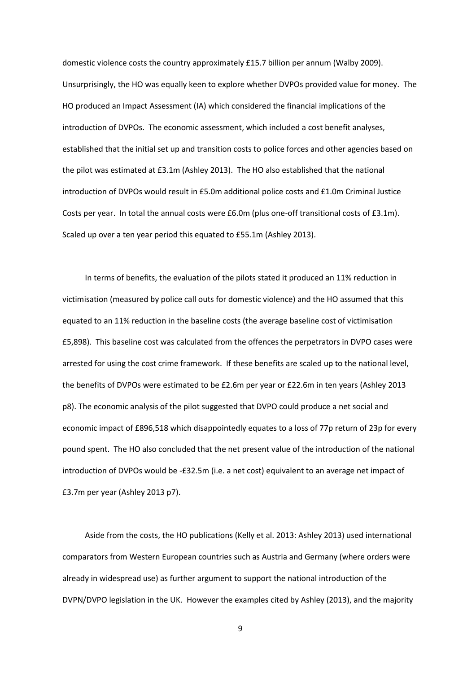domestic violence costs the country approximately £15.7 billion per annum (Walby 2009). Unsurprisingly, the HO was equally keen to explore whether DVPOs provided value for money. The HO produced an Impact Assessment (IA) which considered the financial implications of the introduction of DVPOs. The economic assessment, which included a cost benefit analyses, established that the initial set up and transition costs to police forces and other agencies based on the pilot was estimated at £3.1m (Ashley 2013). The HO also established that the national introduction of DVPOs would result in £5.0m additional police costs and £1.0m Criminal Justice Costs per year. In total the annual costs were £6.0m (plus one-off transitional costs of £3.1m). Scaled up over a ten year period this equated to £55.1m (Ashley 2013).

In terms of benefits, the evaluation of the pilots stated it produced an 11% reduction in victimisation (measured by police call outs for domestic violence) and the HO assumed that this equated to an 11% reduction in the baseline costs (the average baseline cost of victimisation £5,898). This baseline cost was calculated from the offences the perpetrators in DVPO cases were arrested for using the cost crime framework. If these benefits are scaled up to the national level, the benefits of DVPOs were estimated to be £2.6m per year or £22.6m in ten years (Ashley 2013 p8). The economic analysis of the pilot suggested that DVPO could produce a net social and economic impact of £896,518 which disappointedly equates to a loss of 77p return of 23p for every pound spent. The HO also concluded that the net present value of the introduction of the national introduction of DVPOs would be -£32.5m (i.e. a net cost) equivalent to an average net impact of £3.7m per year (Ashley 2013 p7).

Aside from the costs, the HO publications (Kelly et al. 2013: Ashley 2013) used international comparators from Western European countries such as Austria and Germany (where orders were already in widespread use) as further argument to support the national introduction of the DVPN/DVPO legislation in the UK. However the examples cited by Ashley (2013), and the majority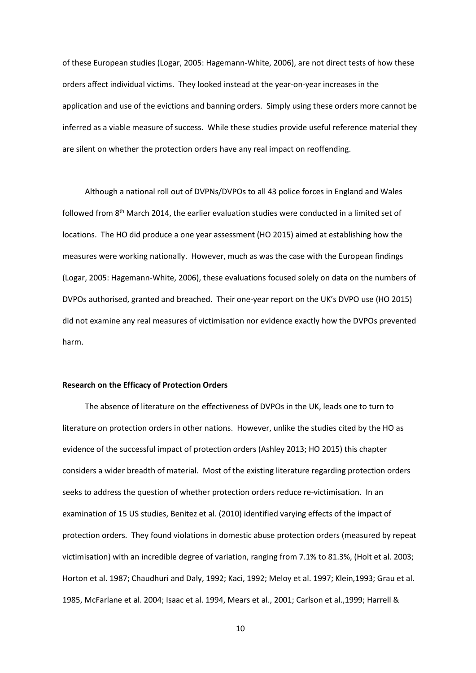of these European studies (Logar, 2005: Hagemann-White, 2006), are not direct tests of how these orders affect individual victims. They looked instead at the year-on-year increases in the application and use of the evictions and banning orders. Simply using these orders more cannot be inferred as a viable measure of success. While these studies provide useful reference material they are silent on whether the protection orders have any real impact on reoffending.

Although a national roll out of DVPNs/DVPOs to all 43 police forces in England and Wales followed from 8th March 2014, the earlier evaluation studies were conducted in a limited set of locations. The HO did produce a one year assessment (HO 2015) aimed at establishing how the measures were working nationally. However, much as was the case with the European findings (Logar, 2005: Hagemann-White, 2006), these evaluations focused solely on data on the numbers of DVPOs authorised, granted and breached. Their one-year report on the UK's DVPO use (HO 2015) did not examine any real measures of victimisation nor evidence exactly how the DVPOs prevented harm.

#### **Research on the Efficacy of Protection Orders**

The absence of literature on the effectiveness of DVPOs in the UK, leads one to turn to literature on protection orders in other nations. However, unlike the studies cited by the HO as evidence of the successful impact of protection orders (Ashley 2013; HO 2015) this chapter considers a wider breadth of material. Most of the existing literature regarding protection orders seeks to address the question of whether protection orders reduce re-victimisation. In an examination of 15 US studies, Benitez et al. (2010) identified varying effects of the impact of protection orders. They found violations in domestic abuse protection orders (measured by repeat victimisation) with an incredible degree of variation, ranging from 7.1% to 81.3%, (Holt et al. 2003; Horton et al. 1987; Chaudhuri and Daly, 1992; Kaci, 1992; Meloy et al. 1997; Klein,1993; Grau et al. 1985, McFarlane et al. 2004; Isaac et al. 1994, Mears et al., 2001; Carlson et al.,1999; Harrell &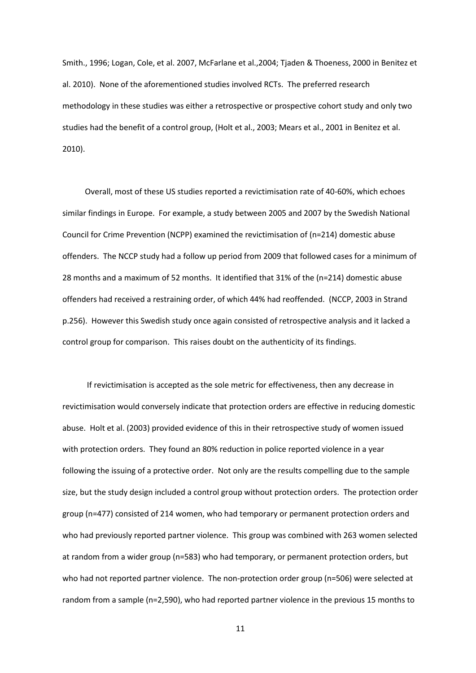Smith., 1996; Logan, Cole, et al. 2007, McFarlane et al.,2004; Tjaden & Thoeness, 2000 in Benitez et al. 2010). None of the aforementioned studies involved RCTs. The preferred research methodology in these studies was either a retrospective or prospective cohort study and only two studies had the benefit of a control group, (Holt et al., 2003; Mears et al., 2001 in Benitez et al. 2010).

Overall, most of these US studies reported a revictimisation rate of 40-60%, which echoes similar findings in Europe. For example, a study between 2005 and 2007 by the Swedish National Council for Crime Prevention (NCPP) examined the revictimisation of (n=214) domestic abuse offenders. The NCCP study had a follow up period from 2009 that followed cases for a minimum of 28 months and a maximum of 52 months. It identified that 31% of the (n=214) domestic abuse offenders had received a restraining order, of which 44% had reoffended. (NCCP, 2003 in Strand p.256). However this Swedish study once again consisted of retrospective analysis and it lacked a control group for comparison. This raises doubt on the authenticity of its findings.

If revictimisation is accepted as the sole metric for effectiveness, then any decrease in revictimisation would conversely indicate that protection orders are effective in reducing domestic abuse. Holt et al. (2003) provided evidence of this in their retrospective study of women issued with protection orders. They found an 80% reduction in police reported violence in a year following the issuing of a protective order. Not only are the results compelling due to the sample size, but the study design included a control group without protection orders. The protection order group (n=477) consisted of 214 women, who had temporary or permanent protection orders and who had previously reported partner violence. This group was combined with 263 women selected at random from a wider group (n=583) who had temporary, or permanent protection orders, but who had not reported partner violence. The non-protection order group (n=506) were selected at random from a sample (n=2,590), who had reported partner violence in the previous 15 months to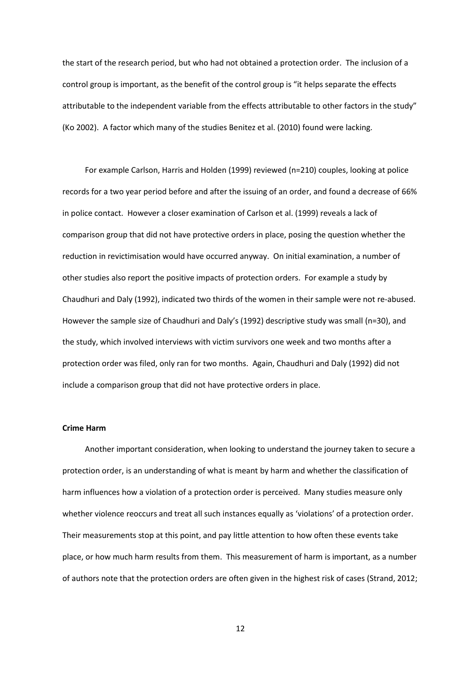the start of the research period, but who had not obtained a protection order. The inclusion of a control group is important, as the benefit of the control group is "it helps separate the effects attributable to the independent variable from the effects attributable to other factors in the study" (Ko 2002). A factor which many of the studies Benitez et al. (2010) found were lacking.

For example Carlson, Harris and Holden (1999) reviewed (n=210) couples, looking at police records for a two year period before and after the issuing of an order, and found a decrease of 66% in police contact. However a closer examination of Carlson et al. (1999) reveals a lack of comparison group that did not have protective orders in place, posing the question whether the reduction in revictimisation would have occurred anyway. On initial examination, a number of other studies also report the positive impacts of protection orders. For example a study by Chaudhuri and Daly (1992), indicated two thirds of the women in their sample were not re-abused. However the sample size of Chaudhuri and Daly's (1992) descriptive study was small (n=30), and the study, which involved interviews with victim survivors one week and two months after a protection order was filed, only ran for two months. Again, Chaudhuri and Daly (1992) did not include a comparison group that did not have protective orders in place.

#### **Crime Harm**

Another important consideration, when looking to understand the journey taken to secure a protection order, is an understanding of what is meant by harm and whether the classification of harm influences how a violation of a protection order is perceived. Many studies measure only whether violence reoccurs and treat all such instances equally as 'violations' of a protection order. Their measurements stop at this point, and pay little attention to how often these events take place, or how much harm results from them. This measurement of harm is important, as a number of authors note that the protection orders are often given in the highest risk of cases (Strand, 2012;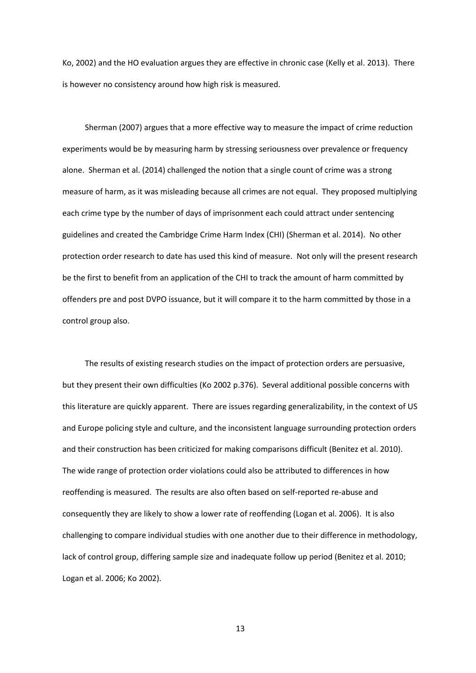Ko, 2002) and the HO evaluation argues they are effective in chronic case (Kelly et al. 2013). There is however no consistency around how high risk is measured.

Sherman (2007) argues that a more effective way to measure the impact of crime reduction experiments would be by measuring harm by stressing seriousness over prevalence or frequency alone. Sherman et al. (2014) challenged the notion that a single count of crime was a strong measure of harm, as it was misleading because all crimes are not equal. They proposed multiplying each crime type by the number of days of imprisonment each could attract under sentencing guidelines and created the Cambridge Crime Harm Index (CHI) (Sherman et al. 2014). No other protection order research to date has used this kind of measure. Not only will the present research be the first to benefit from an application of the CHI to track the amount of harm committed by offenders pre and post DVPO issuance, but it will compare it to the harm committed by those in a control group also.

The results of existing research studies on the impact of protection orders are persuasive, but they present their own difficulties (Ko 2002 p.376). Several additional possible concerns with this literature are quickly apparent. There are issues regarding generalizability, in the context of US and Europe policing style and culture, and the inconsistent language surrounding protection orders and their construction has been criticized for making comparisons difficult (Benitez et al. 2010). The wide range of protection order violations could also be attributed to differences in how reoffending is measured. The results are also often based on self-reported re-abuse and consequently they are likely to show a lower rate of reoffending (Logan et al. 2006). It is also challenging to compare individual studies with one another due to their difference in methodology, lack of control group, differing sample size and inadequate follow up period (Benitez et al. 2010; Logan et al. 2006; Ko 2002).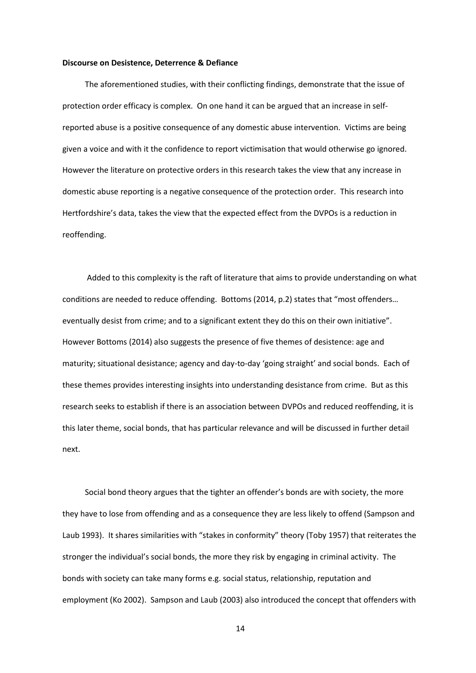#### **Discourse on Desistence, Deterrence & Defiance**

The aforementioned studies, with their conflicting findings, demonstrate that the issue of protection order efficacy is complex. On one hand it can be argued that an increase in selfreported abuse is a positive consequence of any domestic abuse intervention. Victims are being given a voice and with it the confidence to report victimisation that would otherwise go ignored. However the literature on protective orders in this research takes the view that any increase in domestic abuse reporting is a negative consequence of the protection order. This research into Hertfordshire's data, takes the view that the expected effect from the DVPOs is a reduction in reoffending.

Added to this complexity is the raft of literature that aims to provide understanding on what conditions are needed to reduce offending. Bottoms (2014, p.2) states that "most offenders… eventually desist from crime; and to a significant extent they do this on their own initiative". However Bottoms (2014) also suggests the presence of five themes of desistence: age and maturity; situational desistance; agency and day-to-day 'going straight' and social bonds. Each of these themes provides interesting insights into understanding desistance from crime. But as this research seeks to establish if there is an association between DVPOs and reduced reoffending, it is this later theme, social bonds, that has particular relevance and will be discussed in further detail next.

Social bond theory argues that the tighter an offender's bonds are with society, the more they have to lose from offending and as a consequence they are less likely to offend (Sampson and Laub 1993). It shares similarities with "stakes in conformity" theory (Toby 1957) that reiterates the stronger the individual's social bonds, the more they risk by engaging in criminal activity. The bonds with society can take many forms e.g. social status, relationship, reputation and employment (Ko 2002). Sampson and Laub (2003) also introduced the concept that offenders with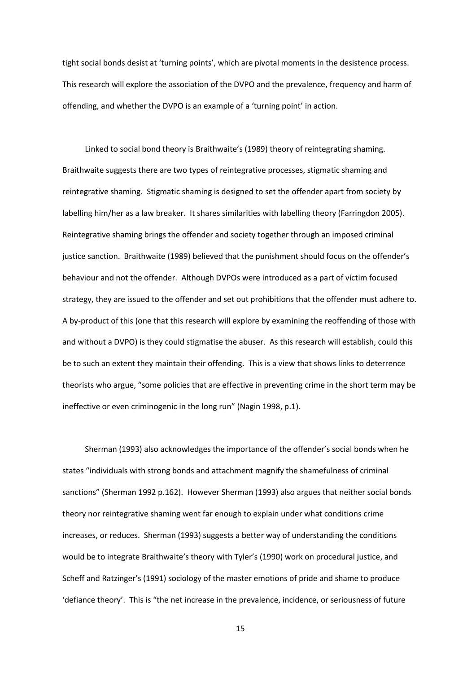tight social bonds desist at 'turning points', which are pivotal moments in the desistence process. This research will explore the association of the DVPO and the prevalence, frequency and harm of offending, and whether the DVPO is an example of a 'turning point' in action.

Linked to social bond theory is Braithwaite's (1989) theory of reintegrating shaming. Braithwaite suggests there are two types of reintegrative processes, stigmatic shaming and reintegrative shaming. Stigmatic shaming is designed to set the offender apart from society by labelling him/her as a law breaker. It shares similarities with labelling theory (Farringdon 2005). Reintegrative shaming brings the offender and society together through an imposed criminal justice sanction. Braithwaite (1989) believed that the punishment should focus on the offender's behaviour and not the offender. Although DVPOs were introduced as a part of victim focused strategy, they are issued to the offender and set out prohibitions that the offender must adhere to. A by-product of this (one that this research will explore by examining the reoffending of those with and without a DVPO) is they could stigmatise the abuser. As this research will establish, could this be to such an extent they maintain their offending. This is a view that shows links to deterrence theorists who argue, "some policies that are effective in preventing crime in the short term may be ineffective or even criminogenic in the long run" (Nagin 1998, p.1).

Sherman (1993) also acknowledges the importance of the offender's social bonds when he states "individuals with strong bonds and attachment magnify the shamefulness of criminal sanctions" (Sherman 1992 p.162). However Sherman (1993) also argues that neither social bonds theory nor reintegrative shaming went far enough to explain under what conditions crime increases, or reduces. Sherman (1993) suggests a better way of understanding the conditions would be to integrate Braithwaite's theory with Tyler's (1990) work on procedural justice, and Scheff and Ratzinger's (1991) sociology of the master emotions of pride and shame to produce 'defiance theory'. This is "the net increase in the prevalence, incidence, or seriousness of future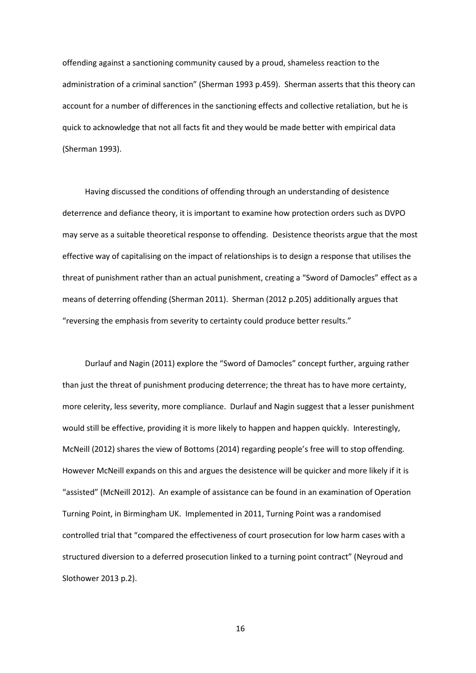offending against a sanctioning community caused by a proud, shameless reaction to the administration of a criminal sanction" (Sherman 1993 p.459). Sherman asserts that this theory can account for a number of differences in the sanctioning effects and collective retaliation, but he is quick to acknowledge that not all facts fit and they would be made better with empirical data (Sherman 1993).

Having discussed the conditions of offending through an understanding of desistence deterrence and defiance theory, it is important to examine how protection orders such as DVPO may serve as a suitable theoretical response to offending. Desistence theorists argue that the most effective way of capitalising on the impact of relationships is to design a response that utilises the threat of punishment rather than an actual punishment, creating a "Sword of Damocles" effect as a means of deterring offending (Sherman 2011). Sherman (2012 p.205) additionally argues that "reversing the emphasis from severity to certainty could produce better results."

Durlauf and Nagin (2011) explore the "Sword of Damocles" concept further, arguing rather than just the threat of punishment producing deterrence; the threat has to have more certainty, more celerity, less severity, more compliance. Durlauf and Nagin suggest that a lesser punishment would still be effective, providing it is more likely to happen and happen quickly. Interestingly, McNeill (2012) shares the view of Bottoms (2014) regarding people's free will to stop offending. However McNeill expands on this and argues the desistence will be quicker and more likely if it is "assisted" (McNeill 2012). An example of assistance can be found in an examination of Operation Turning Point, in Birmingham UK. Implemented in 2011, Turning Point was a randomised controlled trial that "compared the effectiveness of court prosecution for low harm cases with a structured diversion to a deferred prosecution linked to a turning point contract" (Neyroud and Slothower 2013 p.2).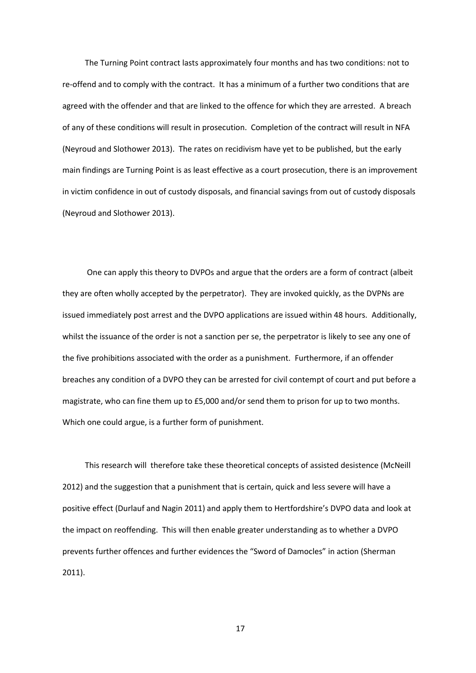The Turning Point contract lasts approximately four months and has two conditions: not to re-offend and to comply with the contract. It has a minimum of a further two conditions that are agreed with the offender and that are linked to the offence for which they are arrested. A breach of any of these conditions will result in prosecution. Completion of the contract will result in NFA (Neyroud and Slothower 2013). The rates on recidivism have yet to be published, but the early main findings are Turning Point is as least effective as a court prosecution, there is an improvement in victim confidence in out of custody disposals, and financial savings from out of custody disposals (Neyroud and Slothower 2013).

One can apply this theory to DVPOs and argue that the orders are a form of contract (albeit they are often wholly accepted by the perpetrator). They are invoked quickly, as the DVPNs are issued immediately post arrest and the DVPO applications are issued within 48 hours. Additionally, whilst the issuance of the order is not a sanction per se, the perpetrator is likely to see any one of the five prohibitions associated with the order as a punishment. Furthermore, if an offender breaches any condition of a DVPO they can be arrested for civil contempt of court and put before a magistrate, who can fine them up to £5,000 and/or send them to prison for up to two months. Which one could argue, is a further form of punishment.

This research will therefore take these theoretical concepts of assisted desistence (McNeill 2012) and the suggestion that a punishment that is certain, quick and less severe will have a positive effect (Durlauf and Nagin 2011) and apply them to Hertfordshire's DVPO data and look at the impact on reoffending. This will then enable greater understanding as to whether a DVPO prevents further offences and further evidences the "Sword of Damocles" in action (Sherman 2011).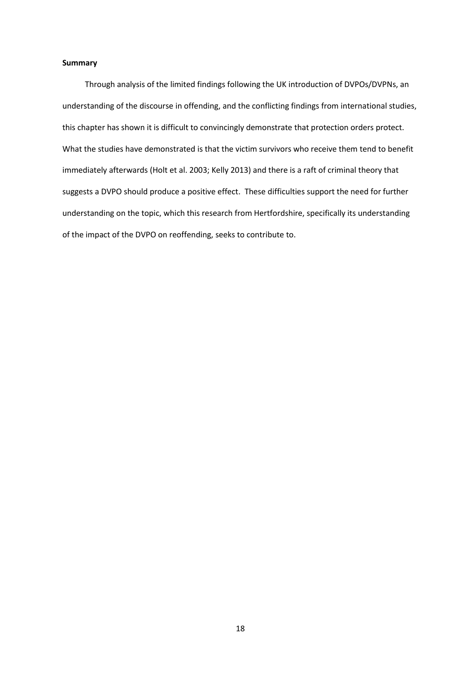#### **Summary**

Through analysis of the limited findings following the UK introduction of DVPOs/DVPNs, an understanding of the discourse in offending, and the conflicting findings from international studies, this chapter has shown it is difficult to convincingly demonstrate that protection orders protect. What the studies have demonstrated is that the victim survivors who receive them tend to benefit immediately afterwards (Holt et al. 2003; Kelly 2013) and there is a raft of criminal theory that suggests a DVPO should produce a positive effect. These difficulties support the need for further understanding on the topic, which this research from Hertfordshire, specifically its understanding of the impact of the DVPO on reoffending, seeks to contribute to.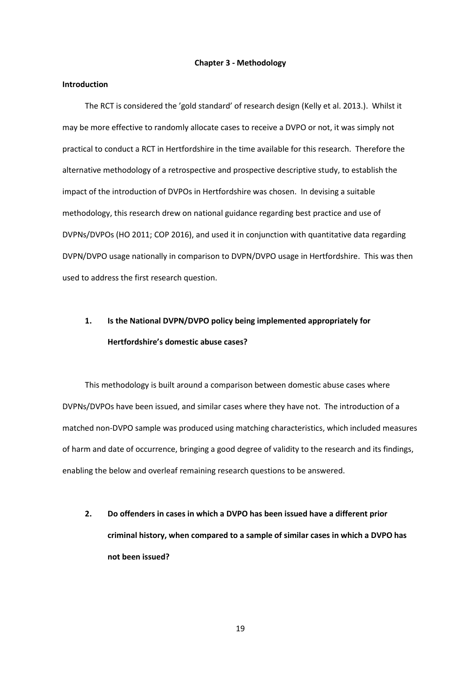#### **Chapter 3 - Methodology**

#### **Introduction**

The RCT is considered the 'gold standard' of research design (Kelly et al. 2013.). Whilst it may be more effective to randomly allocate cases to receive a DVPO or not, it was simply not practical to conduct a RCT in Hertfordshire in the time available for this research. Therefore the alternative methodology of a retrospective and prospective descriptive study, to establish the impact of the introduction of DVPOs in Hertfordshire was chosen. In devising a suitable methodology, this research drew on national guidance regarding best practice and use of DVPNs/DVPOs (HO 2011; COP 2016), and used it in conjunction with quantitative data regarding DVPN/DVPO usage nationally in comparison to DVPN/DVPO usage in Hertfordshire. This was then used to address the first research question.

## **1. Is the National DVPN/DVPO policy being implemented appropriately for Hertfordshire's domestic abuse cases?**

This methodology is built around a comparison between domestic abuse cases where DVPNs/DVPOs have been issued, and similar cases where they have not. The introduction of a matched non-DVPO sample was produced using matching characteristics, which included measures of harm and date of occurrence, bringing a good degree of validity to the research and its findings, enabling the below and overleaf remaining research questions to be answered.

**2. Do offenders in cases in which a DVPO has been issued have a different prior criminal history, when compared to a sample of similar cases in which a DVPO has not been issued?**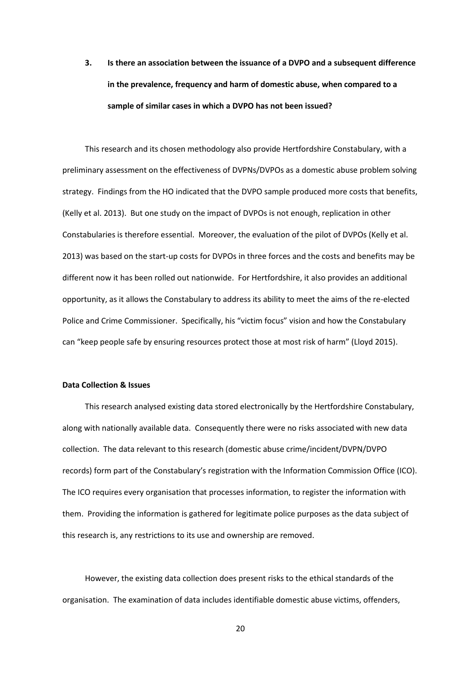**3. Is there an association between the issuance of a DVPO and a subsequent difference in the prevalence, frequency and harm of domestic abuse, when compared to a sample of similar cases in which a DVPO has not been issued?** 

This research and its chosen methodology also provide Hertfordshire Constabulary, with a preliminary assessment on the effectiveness of DVPNs/DVPOs as a domestic abuse problem solving strategy. Findings from the HO indicated that the DVPO sample produced more costs that benefits, (Kelly et al. 2013). But one study on the impact of DVPOs is not enough, replication in other Constabularies is therefore essential. Moreover, the evaluation of the pilot of DVPOs (Kelly et al. 2013) was based on the start-up costs for DVPOs in three forces and the costs and benefits may be different now it has been rolled out nationwide. For Hertfordshire, it also provides an additional opportunity, as it allows the Constabulary to address its ability to meet the aims of the re-elected Police and Crime Commissioner. Specifically, his "victim focus" vision and how the Constabulary can "keep people safe by ensuring resources protect those at most risk of harm" (Lloyd 2015).

#### **Data Collection & Issues**

This research analysed existing data stored electronically by the Hertfordshire Constabulary, along with nationally available data. Consequently there were no risks associated with new data collection. The data relevant to this research (domestic abuse crime/incident/DVPN/DVPO records) form part of the Constabulary's registration with the Information Commission Office (ICO). The ICO requires every organisation that processes information, to register the information with them. Providing the information is gathered for legitimate police purposes as the data subject of this research is, any restrictions to its use and ownership are removed.

However, the existing data collection does present risks to the ethical standards of the organisation. The examination of data includes identifiable domestic abuse victims, offenders,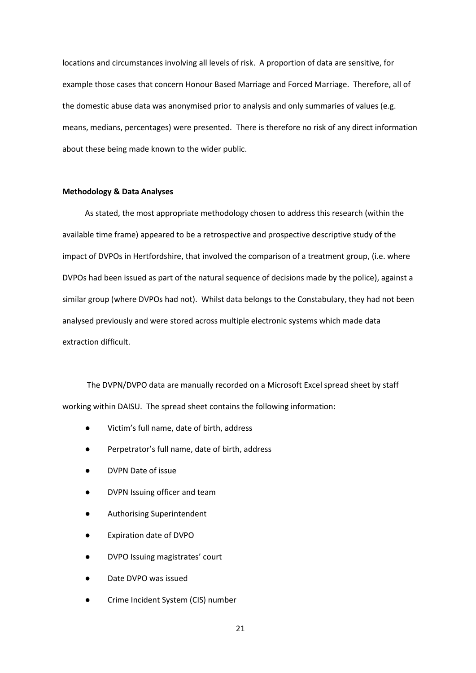locations and circumstances involving all levels of risk. A proportion of data are sensitive, for example those cases that concern Honour Based Marriage and Forced Marriage. Therefore, all of the domestic abuse data was anonymised prior to analysis and only summaries of values (e.g. means, medians, percentages) were presented. There is therefore no risk of any direct information about these being made known to the wider public.

#### **Methodology & Data Analyses**

As stated, the most appropriate methodology chosen to address this research (within the available time frame) appeared to be a retrospective and prospective descriptive study of the impact of DVPOs in Hertfordshire, that involved the comparison of a treatment group, (i.e. where DVPOs had been issued as part of the natural sequence of decisions made by the police), against a similar group (where DVPOs had not). Whilst data belongs to the Constabulary, they had not been analysed previously and were stored across multiple electronic systems which made data extraction difficult.

The DVPN/DVPO data are manually recorded on a Microsoft Excel spread sheet by staff working within DAISU. The spread sheet contains the following information:

- Victim's full name, date of birth, address
- Perpetrator's full name, date of birth, address
- DVPN Date of issue
- DVPN Issuing officer and team
- Authorising Superintendent
- **Expiration date of DVPO**
- DVPO Issuing magistrates' court
- Date DVPO was issued
- Crime Incident System (CIS) number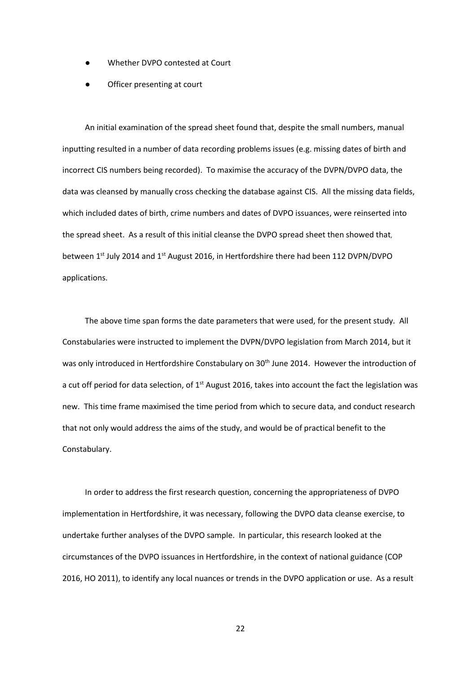- Whether DVPO contested at Court
- Officer presenting at court

An initial examination of the spread sheet found that, despite the small numbers, manual inputting resulted in a number of data recording problems issues (e.g. missing dates of birth and incorrect CIS numbers being recorded). To maximise the accuracy of the DVPN/DVPO data, the data was cleansed by manually cross checking the database against CIS. All the missing data fields, which included dates of birth, crime numbers and dates of DVPO issuances, were reinserted into the spread sheet. As a result of this initial cleanse the DVPO spread sheet then showed that, between 1<sup>st</sup> July 2014 and 1<sup>st</sup> August 2016, in Hertfordshire there had been 112 DVPN/DVPO applications.

The above time span forms the date parameters that were used, for the present study. All Constabularies were instructed to implement the DVPN/DVPO legislation from March 2014, but it was only introduced in Hertfordshire Constabulary on 30<sup>th</sup> June 2014. However the introduction of a cut off period for data selection, of 1<sup>st</sup> August 2016, takes into account the fact the legislation was new. This time frame maximised the time period from which to secure data, and conduct research that not only would address the aims of the study, and would be of practical benefit to the Constabulary.

In order to address the first research question, concerning the appropriateness of DVPO implementation in Hertfordshire, it was necessary, following the DVPO data cleanse exercise, to undertake further analyses of the DVPO sample. In particular, this research looked at the circumstances of the DVPO issuances in Hertfordshire, in the context of national guidance (COP 2016, HO 2011), to identify any local nuances or trends in the DVPO application or use. As a result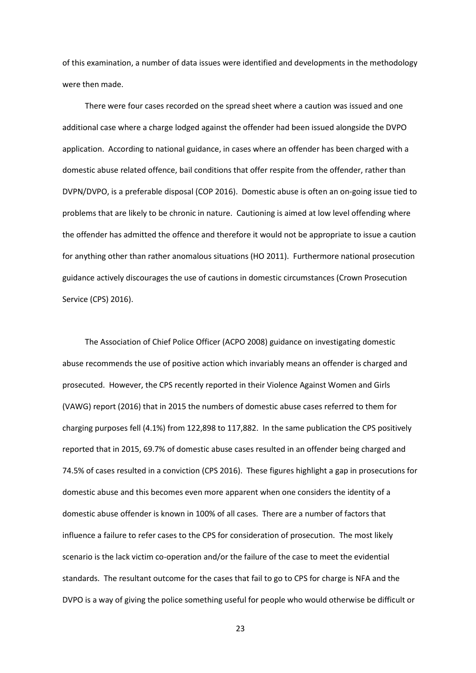of this examination, a number of data issues were identified and developments in the methodology were then made.

There were four cases recorded on the spread sheet where a caution was issued and one additional case where a charge lodged against the offender had been issued alongside the DVPO application. According to national guidance, in cases where an offender has been charged with a domestic abuse related offence, bail conditions that offer respite from the offender, rather than DVPN/DVPO, is a preferable disposal (COP 2016). Domestic abuse is often an on-going issue tied to problems that are likely to be chronic in nature. Cautioning is aimed at low level offending where the offender has admitted the offence and therefore it would not be appropriate to issue a caution for anything other than rather anomalous situations (HO 2011). Furthermore national prosecution guidance actively discourages the use of cautions in domestic circumstances (Crown Prosecution Service (CPS) 2016).

The Association of Chief Police Officer (ACPO 2008) guidance on investigating domestic abuse recommends the use of positive action which invariably means an offender is charged and prosecuted. However, the CPS recently reported in their Violence Against Women and Girls (VAWG) report (2016) that in 2015 the numbers of domestic abuse cases referred to them for charging purposes fell (4.1%) from 122,898 to 117,882. In the same publication the CPS positively reported that in 2015, 69.7% of domestic abuse cases resulted in an offender being charged and 74.5% of cases resulted in a conviction (CPS 2016). These figures highlight a gap in prosecutions for domestic abuse and this becomes even more apparent when one considers the identity of a domestic abuse offender is known in 100% of all cases. There are a number of factors that influence a failure to refer cases to the CPS for consideration of prosecution. The most likely scenario is the lack victim co-operation and/or the failure of the case to meet the evidential standards. The resultant outcome for the cases that fail to go to CPS for charge is NFA and the DVPO is a way of giving the police something useful for people who would otherwise be difficult or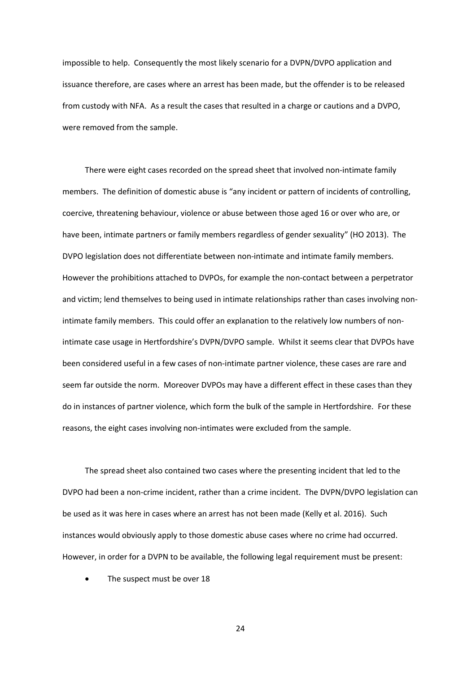impossible to help. Consequently the most likely scenario for a DVPN/DVPO application and issuance therefore, are cases where an arrest has been made, but the offender is to be released from custody with NFA. As a result the cases that resulted in a charge or cautions and a DVPO, were removed from the sample.

There were eight cases recorded on the spread sheet that involved non-intimate family members. The definition of domestic abuse is "any incident or pattern of incidents of controlling, coercive, threatening behaviour, violence or abuse between those aged 16 or over who are, or have been, intimate partners or family members regardless of gender sexuality" (HO 2013). The DVPO legislation does not differentiate between non-intimate and intimate family members. However the prohibitions attached to DVPOs, for example the non-contact between a perpetrator and victim; lend themselves to being used in intimate relationships rather than cases involving nonintimate family members. This could offer an explanation to the relatively low numbers of nonintimate case usage in Hertfordshire's DVPN/DVPO sample. Whilst it seems clear that DVPOs have been considered useful in a few cases of non-intimate partner violence, these cases are rare and seem far outside the norm. Moreover DVPOs may have a different effect in these cases than they do in instances of partner violence, which form the bulk of the sample in Hertfordshire. For these reasons, the eight cases involving non-intimates were excluded from the sample.

The spread sheet also contained two cases where the presenting incident that led to the DVPO had been a non-crime incident, rather than a crime incident. The DVPN/DVPO legislation can be used as it was here in cases where an arrest has not been made (Kelly et al. 2016). Such instances would obviously apply to those domestic abuse cases where no crime had occurred. However, in order for a DVPN to be available, the following legal requirement must be present:

The suspect must be over 18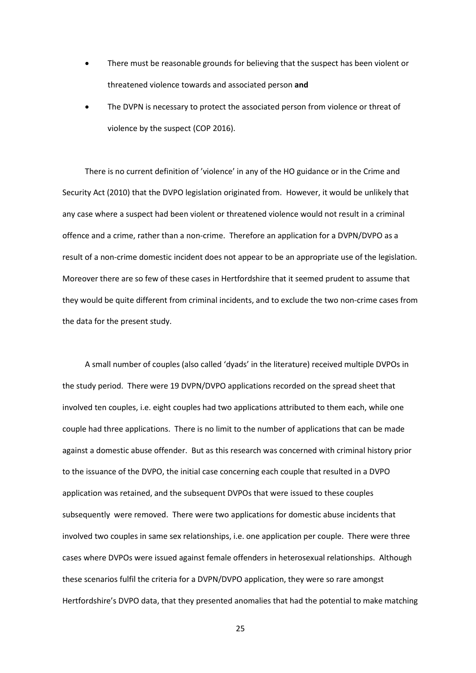- There must be reasonable grounds for believing that the suspect has been violent or threatened violence towards and associated person **and**
- The DVPN is necessary to protect the associated person from violence or threat of violence by the suspect (COP 2016).

There is no current definition of 'violence' in any of the HO guidance or in the Crime and Security Act (2010) that the DVPO legislation originated from. However, it would be unlikely that any case where a suspect had been violent or threatened violence would not result in a criminal offence and a crime, rather than a non-crime. Therefore an application for a DVPN/DVPO as a result of a non-crime domestic incident does not appear to be an appropriate use of the legislation. Moreover there are so few of these cases in Hertfordshire that it seemed prudent to assume that they would be quite different from criminal incidents, and to exclude the two non-crime cases from the data for the present study.

A small number of couples (also called 'dyads' in the literature) received multiple DVPOs in the study period. There were 19 DVPN/DVPO applications recorded on the spread sheet that involved ten couples, i.e. eight couples had two applications attributed to them each, while one couple had three applications. There is no limit to the number of applications that can be made against a domestic abuse offender. But as this research was concerned with criminal history prior to the issuance of the DVPO, the initial case concerning each couple that resulted in a DVPO application was retained, and the subsequent DVPOs that were issued to these couples subsequently were removed. There were two applications for domestic abuse incidents that involved two couples in same sex relationships, i.e. one application per couple. There were three cases where DVPOs were issued against female offenders in heterosexual relationships. Although these scenarios fulfil the criteria for a DVPN/DVPO application, they were so rare amongst Hertfordshire's DVPO data, that they presented anomalies that had the potential to make matching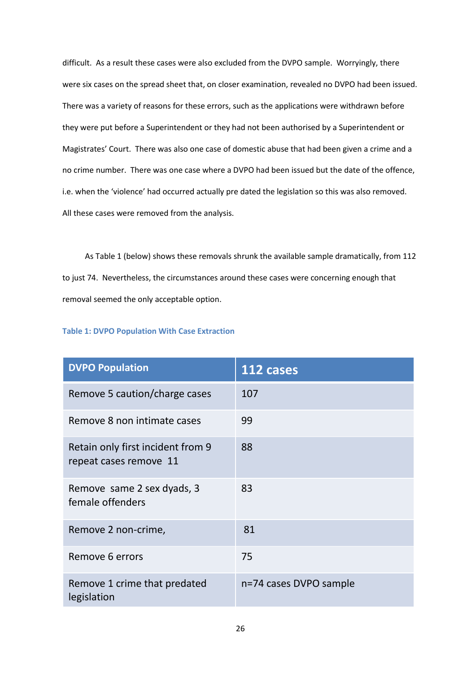difficult. As a result these cases were also excluded from the DVPO sample. Worryingly, there were six cases on the spread sheet that, on closer examination, revealed no DVPO had been issued. There was a variety of reasons for these errors, such as the applications were withdrawn before they were put before a Superintendent or they had not been authorised by a Superintendent or Magistrates' Court. There was also one case of domestic abuse that had been given a crime and a no crime number. There was one case where a DVPO had been issued but the date of the offence, i.e. when the 'violence' had occurred actually pre dated the legislation so this was also removed. All these cases were removed from the analysis.

As Table 1 (below) shows these removals shrunk the available sample dramatically, from 112 to just 74. Nevertheless, the circumstances around these cases were concerning enough that removal seemed the only acceptable option.

| <b>Table 1: DVPO Population With Case Extraction</b> |  |  |  |
|------------------------------------------------------|--|--|--|
|------------------------------------------------------|--|--|--|

| <b>DVPO Population</b>                                      | 112 cases              |
|-------------------------------------------------------------|------------------------|
| Remove 5 caution/charge cases                               | 107                    |
| Remove 8 non intimate cases                                 | 99                     |
| Retain only first incident from 9<br>repeat cases remove 11 | 88                     |
| Remove same 2 sex dyads, 3<br>female offenders              | 83                     |
| Remove 2 non-crime,                                         | 81                     |
| Remove 6 errors                                             | 75                     |
| Remove 1 crime that predated<br>legislation                 | n=74 cases DVPO sample |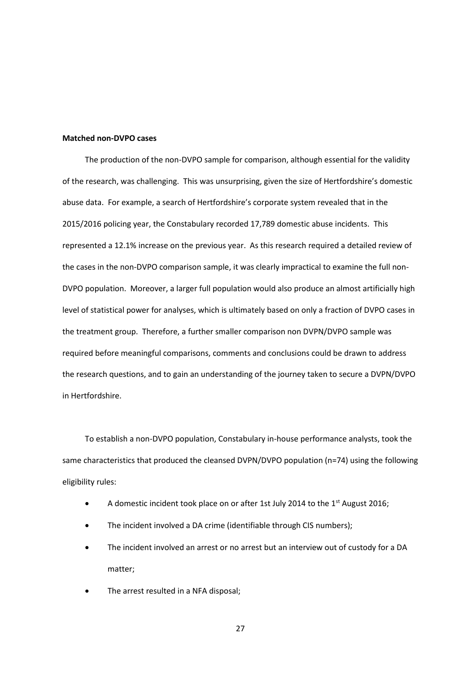#### **Matched non-DVPO cases**

The production of the non-DVPO sample for comparison, although essential for the validity of the research, was challenging. This was unsurprising, given the size of Hertfordshire's domestic abuse data. For example, a search of Hertfordshire's corporate system revealed that in the 2015/2016 policing year, the Constabulary recorded 17,789 domestic abuse incidents. This represented a 12.1% increase on the previous year. As this research required a detailed review of the cases in the non-DVPO comparison sample, it was clearly impractical to examine the full non-DVPO population. Moreover, a larger full population would also produce an almost artificially high level of statistical power for analyses, which is ultimately based on only a fraction of DVPO cases in the treatment group. Therefore, a further smaller comparison non DVPN/DVPO sample was required before meaningful comparisons, comments and conclusions could be drawn to address the research questions, and to gain an understanding of the journey taken to secure a DVPN/DVPO in Hertfordshire.

To establish a non-DVPO population, Constabulary in-house performance analysts, took the same characteristics that produced the cleansed DVPN/DVPO population (n=74) using the following eligibility rules:

- A domestic incident took place on or after 1st July 2014 to the 1<sup>st</sup> August 2016;
- The incident involved a DA crime (identifiable through CIS numbers);
- The incident involved an arrest or no arrest but an interview out of custody for a DA matter;
- The arrest resulted in a NFA disposal;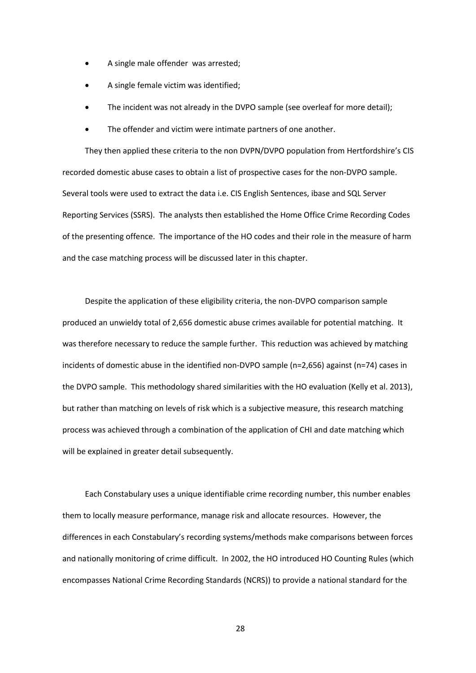- A single male offender was arrested;
- A single female victim was identified;
- The incident was not already in the DVPO sample (see overleaf for more detail);
- The offender and victim were intimate partners of one another.

They then applied these criteria to the non DVPN/DVPO population from Hertfordshire's CIS recorded domestic abuse cases to obtain a list of prospective cases for the non-DVPO sample. Several tools were used to extract the data i.e. CIS English Sentences, ibase and SQL Server Reporting Services (SSRS). The analysts then established the Home Office Crime Recording Codes of the presenting offence. The importance of the HO codes and their role in the measure of harm and the case matching process will be discussed later in this chapter.

Despite the application of these eligibility criteria, the non-DVPO comparison sample produced an unwieldy total of 2,656 domestic abuse crimes available for potential matching. It was therefore necessary to reduce the sample further. This reduction was achieved by matching incidents of domestic abuse in the identified non-DVPO sample (n=2,656) against (n=74) cases in the DVPO sample. This methodology shared similarities with the HO evaluation (Kelly et al. 2013), but rather than matching on levels of risk which is a subjective measure, this research matching process was achieved through a combination of the application of CHI and date matching which will be explained in greater detail subsequently.

Each Constabulary uses a unique identifiable crime recording number, this number enables them to locally measure performance, manage risk and allocate resources. However, the differences in each Constabulary's recording systems/methods make comparisons between forces and nationally monitoring of crime difficult. In 2002, the HO introduced HO Counting Rules (which encompasses National Crime Recording Standards (NCRS)) to provide a national standard for the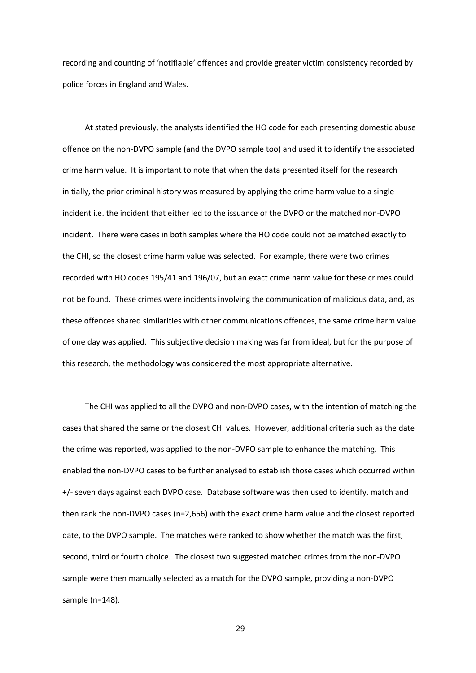recording and counting of 'notifiable' offences and provide greater victim consistency recorded by police forces in England and Wales.

At stated previously, the analysts identified the HO code for each presenting domestic abuse offence on the non-DVPO sample (and the DVPO sample too) and used it to identify the associated crime harm value. It is important to note that when the data presented itself for the research initially, the prior criminal history was measured by applying the crime harm value to a single incident i.e. the incident that either led to the issuance of the DVPO or the matched non-DVPO incident. There were cases in both samples where the HO code could not be matched exactly to the CHI, so the closest crime harm value was selected. For example, there were two crimes recorded with HO codes 195/41 and 196/07, but an exact crime harm value for these crimes could not be found. These crimes were incidents involving the communication of malicious data, and, as these offences shared similarities with other communications offences, the same crime harm value of one day was applied. This subjective decision making was far from ideal, but for the purpose of this research, the methodology was considered the most appropriate alternative.

The CHI was applied to all the DVPO and non-DVPO cases, with the intention of matching the cases that shared the same or the closest CHI values. However, additional criteria such as the date the crime was reported, was applied to the non-DVPO sample to enhance the matching. This enabled the non-DVPO cases to be further analysed to establish those cases which occurred within +/- seven days against each DVPO case. Database software was then used to identify, match and then rank the non-DVPO cases (n=2,656) with the exact crime harm value and the closest reported date, to the DVPO sample. The matches were ranked to show whether the match was the first, second, third or fourth choice. The closest two suggested matched crimes from the non-DVPO sample were then manually selected as a match for the DVPO sample, providing a non-DVPO sample (n=148).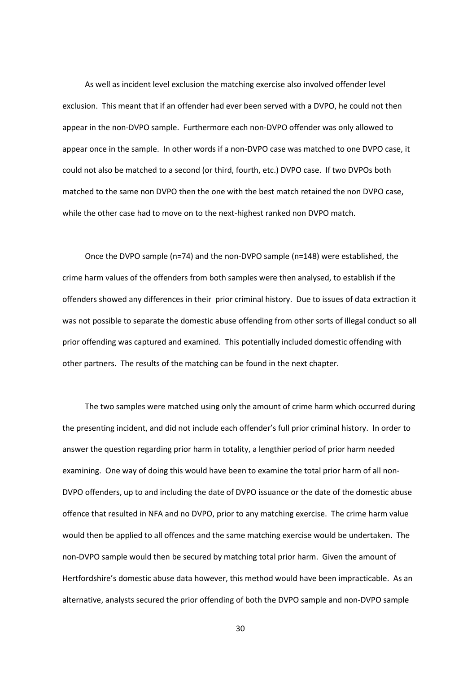As well as incident level exclusion the matching exercise also involved offender level exclusion. This meant that if an offender had ever been served with a DVPO, he could not then appear in the non-DVPO sample. Furthermore each non-DVPO offender was only allowed to appear once in the sample. In other words if a non-DVPO case was matched to one DVPO case, it could not also be matched to a second (or third, fourth, etc.) DVPO case. If two DVPOs both matched to the same non DVPO then the one with the best match retained the non DVPO case, while the other case had to move on to the next-highest ranked non DVPO match.

Once the DVPO sample (n=74) and the non-DVPO sample (n=148) were established, the crime harm values of the offenders from both samples were then analysed, to establish if the offenders showed any differences in their prior criminal history. Due to issues of data extraction it was not possible to separate the domestic abuse offending from other sorts of illegal conduct so all prior offending was captured and examined. This potentially included domestic offending with other partners. The results of the matching can be found in the next chapter.

The two samples were matched using only the amount of crime harm which occurred during the presenting incident, and did not include each offender's full prior criminal history. In order to answer the question regarding prior harm in totality, a lengthier period of prior harm needed examining. One way of doing this would have been to examine the total prior harm of all non-DVPO offenders, up to and including the date of DVPO issuance or the date of the domestic abuse offence that resulted in NFA and no DVPO, prior to any matching exercise. The crime harm value would then be applied to all offences and the same matching exercise would be undertaken. The non-DVPO sample would then be secured by matching total prior harm. Given the amount of Hertfordshire's domestic abuse data however, this method would have been impracticable. As an alternative, analysts secured the prior offending of both the DVPO sample and non-DVPO sample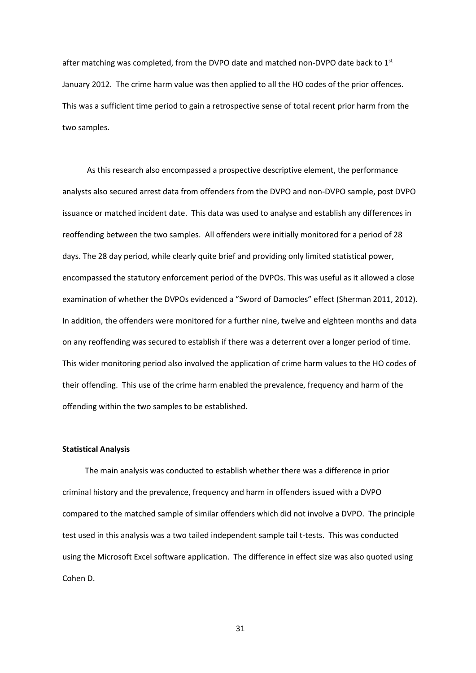after matching was completed, from the DVPO date and matched non-DVPO date back to  $1<sup>st</sup>$ January 2012. The crime harm value was then applied to all the HO codes of the prior offences. This was a sufficient time period to gain a retrospective sense of total recent prior harm from the two samples.

As this research also encompassed a prospective descriptive element, the performance analysts also secured arrest data from offenders from the DVPO and non-DVPO sample, post DVPO issuance or matched incident date. This data was used to analyse and establish any differences in reoffending between the two samples. All offenders were initially monitored for a period of 28 days. The 28 day period, while clearly quite brief and providing only limited statistical power, encompassed the statutory enforcement period of the DVPOs. This was useful as it allowed a close examination of whether the DVPOs evidenced a "Sword of Damocles" effect (Sherman 2011, 2012). In addition, the offenders were monitored for a further nine, twelve and eighteen months and data on any reoffending was secured to establish if there was a deterrent over a longer period of time. This wider monitoring period also involved the application of crime harm values to the HO codes of their offending. This use of the crime harm enabled the prevalence, frequency and harm of the offending within the two samples to be established.

# **Statistical Analysis**

The main analysis was conducted to establish whether there was a difference in prior criminal history and the prevalence, frequency and harm in offenders issued with a DVPO compared to the matched sample of similar offenders which did not involve a DVPO. The principle test used in this analysis was a two tailed independent sample tail t-tests. This was conducted using the Microsoft Excel software application. The difference in effect size was also quoted using Cohen D.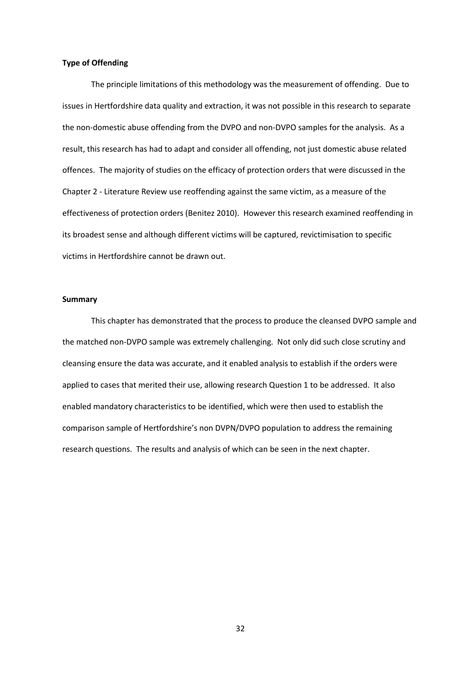### **Type of Offending**

The principle limitations of this methodology was the measurement of offending. Due to issues in Hertfordshire data quality and extraction, it was not possible in this research to separate the non-domestic abuse offending from the DVPO and non-DVPO samples for the analysis. As a result, this research has had to adapt and consider all offending, not just domestic abuse related offences. The majority of studies on the efficacy of protection orders that were discussed in the Chapter 2 - Literature Review use reoffending against the same victim, as a measure of the effectiveness of protection orders (Benitez 2010). However this research examined reoffending in its broadest sense and although different victims will be captured, revictimisation to specific victims in Hertfordshire cannot be drawn out.

### **Summary**

This chapter has demonstrated that the process to produce the cleansed DVPO sample and the matched non-DVPO sample was extremely challenging. Not only did such close scrutiny and cleansing ensure the data was accurate, and it enabled analysis to establish if the orders were applied to cases that merited their use, allowing research Question 1 to be addressed. It also enabled mandatory characteristics to be identified, which were then used to establish the comparison sample of Hertfordshire's non DVPN/DVPO population to address the remaining research questions. The results and analysis of which can be seen in the next chapter.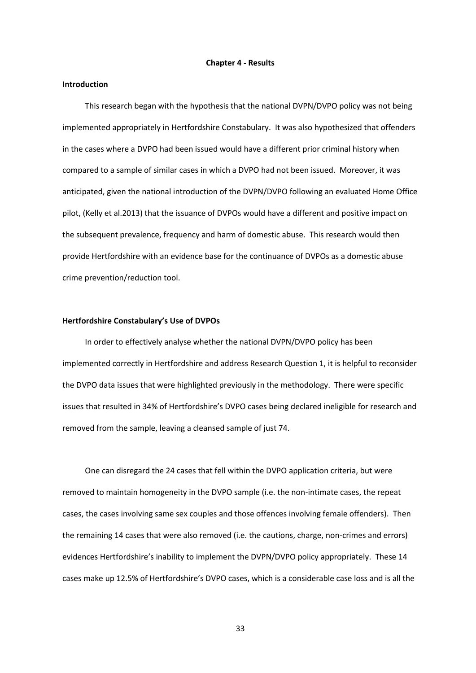#### **Chapter 4 - Results**

# **Introduction**

This research began with the hypothesis that the national DVPN/DVPO policy was not being implemented appropriately in Hertfordshire Constabulary. It was also hypothesized that offenders in the cases where a DVPO had been issued would have a different prior criminal history when compared to a sample of similar cases in which a DVPO had not been issued. Moreover, it was anticipated, given the national introduction of the DVPN/DVPO following an evaluated Home Office pilot, (Kelly et al.2013) that the issuance of DVPOs would have a different and positive impact on the subsequent prevalence, frequency and harm of domestic abuse. This research would then provide Hertfordshire with an evidence base for the continuance of DVPOs as a domestic abuse crime prevention/reduction tool.

### **Hertfordshire Constabulary's Use of DVPOs**

In order to effectively analyse whether the national DVPN/DVPO policy has been implemented correctly in Hertfordshire and address Research Question 1, it is helpful to reconsider the DVPO data issues that were highlighted previously in the methodology. There were specific issues that resulted in 34% of Hertfordshire's DVPO cases being declared ineligible for research and removed from the sample, leaving a cleansed sample of just 74.

One can disregard the 24 cases that fell within the DVPO application criteria, but were removed to maintain homogeneity in the DVPO sample (i.e. the non-intimate cases, the repeat cases, the cases involving same sex couples and those offences involving female offenders). Then the remaining 14 cases that were also removed (i.e. the cautions, charge, non-crimes and errors) evidences Hertfordshire's inability to implement the DVPN/DVPO policy appropriately. These 14 cases make up 12.5% of Hertfordshire's DVPO cases, which is a considerable case loss and is all the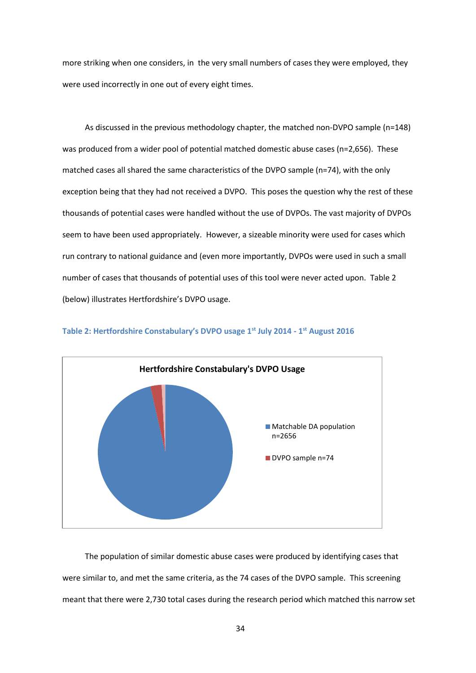more striking when one considers, in the very small numbers of cases they were employed, they were used incorrectly in one out of every eight times.

As discussed in the previous methodology chapter, the matched non-DVPO sample (n=148) was produced from a wider pool of potential matched domestic abuse cases (n=2,656). These matched cases all shared the same characteristics of the DVPO sample (n=74), with the only exception being that they had not received a DVPO. This poses the question why the rest of these thousands of potential cases were handled without the use of DVPOs. The vast majority of DVPOs seem to have been used appropriately. However, a sizeable minority were used for cases which run contrary to national guidance and (even more importantly, DVPOs were used in such a small number of cases that thousands of potential uses of this tool were never acted upon. Table 2 (below) illustrates Hertfordshire's DVPO usage.



**Table 2: Hertfordshire Constabulary's DVPO usage 1st July 2014 - 1 st August 2016**

The population of similar domestic abuse cases were produced by identifying cases that were similar to, and met the same criteria, as the 74 cases of the DVPO sample. This screening meant that there were 2,730 total cases during the research period which matched this narrow set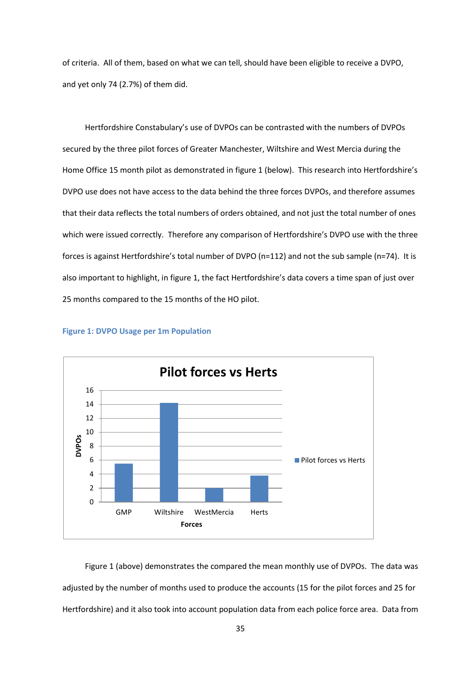of criteria. All of them, based on what we can tell, should have been eligible to receive a DVPO, and yet only 74 (2.7%) of them did.

Hertfordshire Constabulary's use of DVPOs can be contrasted with the numbers of DVPOs secured by the three pilot forces of Greater Manchester, Wiltshire and West Mercia during the Home Office 15 month pilot as demonstrated in figure 1 (below). This research into Hertfordshire's DVPO use does not have access to the data behind the three forces DVPOs, and therefore assumes that their data reflects the total numbers of orders obtained, and not just the total number of ones which were issued correctly. Therefore any comparison of Hertfordshire's DVPO use with the three forces is against Hertfordshire's total number of DVPO (n=112) and not the sub sample (n=74). It is also important to highlight, in figure 1, the fact Hertfordshire's data covers a time span of just over 25 months compared to the 15 months of the HO pilot.



### **Figure 1: DVPO Usage per 1m Population**

Figure 1 (above) demonstrates the compared the mean monthly use of DVPOs. The data was adjusted by the number of months used to produce the accounts (15 for the pilot forces and 25 for Hertfordshire) and it also took into account population data from each police force area. Data from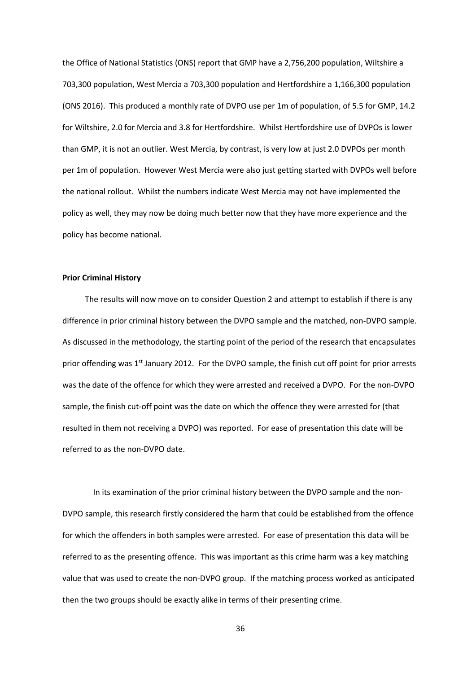the Office of National Statistics (ONS) report that GMP have a 2,756,200 population, Wiltshire a 703,300 population, West Mercia a 703,300 population and Hertfordshire a 1,166,300 population (ONS 2016). This produced a monthly rate of DVPO use per 1m of population, of 5.5 for GMP, 14.2 for Wiltshire, 2.0 for Mercia and 3.8 for Hertfordshire. Whilst Hertfordshire use of DVPOs is lower than GMP, it is not an outlier. West Mercia, by contrast, is very low at just 2.0 DVPOs per month per 1m of population. However West Mercia were also just getting started with DVPOs well before the national rollout. Whilst the numbers indicate West Mercia may not have implemented the policy as well, they may now be doing much better now that they have more experience and the policy has become national.

## **Prior Criminal History**

The results will now move on to consider Question 2 and attempt to establish if there is any difference in prior criminal history between the DVPO sample and the matched, non-DVPO sample. As discussed in the methodology, the starting point of the period of the research that encapsulates prior offending was  $1<sup>st</sup>$  January 2012. For the DVPO sample, the finish cut off point for prior arrests was the date of the offence for which they were arrested and received a DVPO. For the non-DVPO sample, the finish cut-off point was the date on which the offence they were arrested for (that resulted in them not receiving a DVPO) was reported. For ease of presentation this date will be referred to as the non-DVPO date.

In its examination of the prior criminal history between the DVPO sample and the non-DVPO sample, this research firstly considered the harm that could be established from the offence for which the offenders in both samples were arrested. For ease of presentation this data will be referred to as the presenting offence. This was important as this crime harm was a key matching value that was used to create the non-DVPO group. If the matching process worked as anticipated then the two groups should be exactly alike in terms of their presenting crime.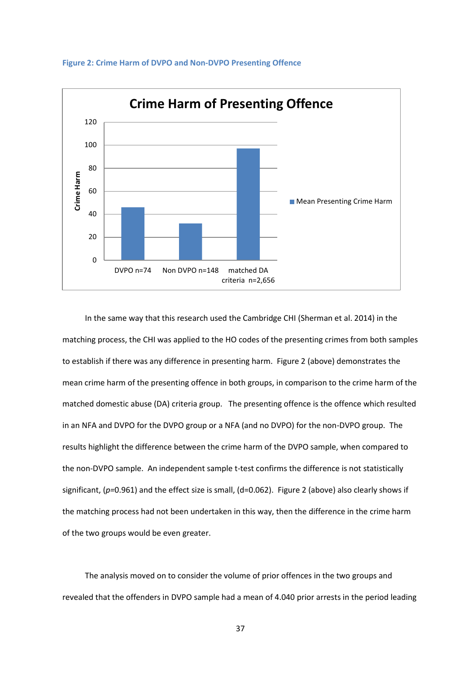

#### **Figure 2: Crime Harm of DVPO and Non-DVPO Presenting Offence**

In the same way that this research used the Cambridge CHI (Sherman et al. 2014) in the matching process, the CHI was applied to the HO codes of the presenting crimes from both samples to establish if there was any difference in presenting harm. Figure 2 (above) demonstrates the mean crime harm of the presenting offence in both groups, in comparison to the crime harm of the matched domestic abuse (DA) criteria group. The presenting offence is the offence which resulted in an NFA and DVPO for the DVPO group or a NFA (and no DVPO) for the non-DVPO group. The results highlight the difference between the crime harm of the DVPO sample, when compared to the non-DVPO sample. An independent sample t-test confirms the difference is not statistically significant, (*p=*0.961) and the effect size is small, (d=0.062). Figure 2 (above) also clearly shows if the matching process had not been undertaken in this way, then the difference in the crime harm of the two groups would be even greater.

The analysis moved on to consider the volume of prior offences in the two groups and revealed that the offenders in DVPO sample had a mean of 4.040 prior arrests in the period leading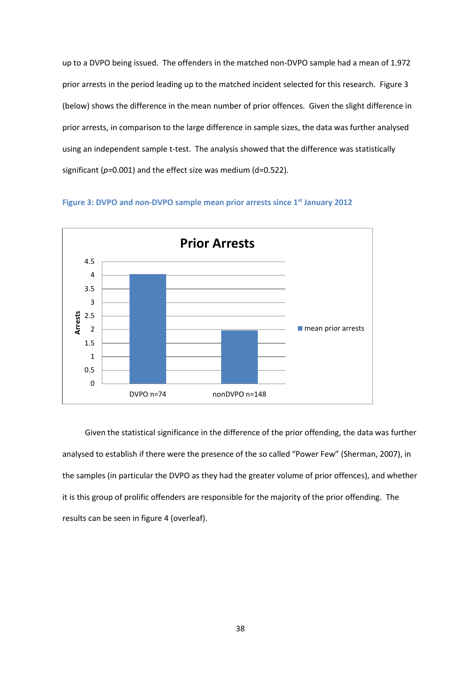up to a DVPO being issued. The offenders in the matched non-DVPO sample had a mean of 1.972 prior arrests in the period leading up to the matched incident selected for this research. Figure 3 (below) shows the difference in the mean number of prior offences. Given the slight difference in prior arrests, in comparison to the large difference in sample sizes, the data was further analysed using an independent sample t-test. The analysis showed that the difference was statistically significant (*p=*0.001) and the effect size was medium (d=0.522).





Given the statistical significance in the difference of the prior offending, the data was further analysed to establish if there were the presence of the so called "Power Few" (Sherman, 2007), in the samples (in particular the DVPO as they had the greater volume of prior offences), and whether it is this group of prolific offenders are responsible for the majority of the prior offending. The results can be seen in figure 4 (overleaf).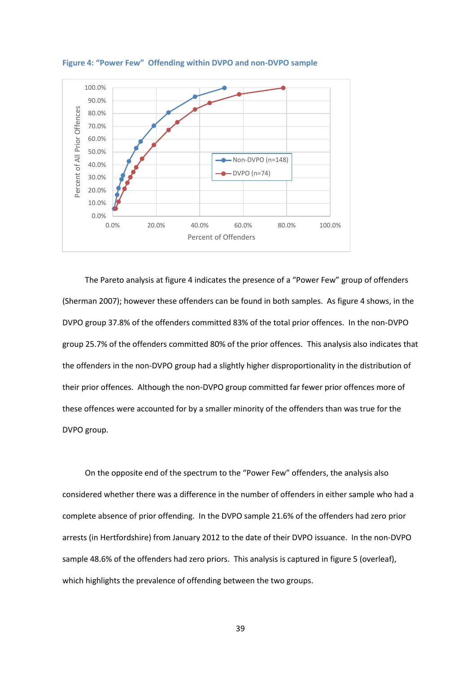

**Figure 4: "Power Few" Offending within DVPO and non-DVPO sample**

The Pareto analysis at figure 4 indicates the presence of a "Power Few" group of offenders (Sherman 2007); however these offenders can be found in both samples. As figure 4 shows, in the DVPO group 37.8% of the offenders committed 83% of the total prior offences. In the non-DVPO group 25.7% of the offenders committed 80% of the prior offences. This analysis also indicates that the offenders in the non-DVPO group had a slightly higher disproportionality in the distribution of their prior offences. Although the non-DVPO group committed far fewer prior offences more of these offences were accounted for by a smaller minority of the offenders than was true for the DVPO group.

On the opposite end of the spectrum to the "Power Few" offenders, the analysis also considered whether there was a difference in the number of offenders in either sample who had a complete absence of prior offending. In the DVPO sample 21.6% of the offenders had zero prior arrests (in Hertfordshire) from January 2012 to the date of their DVPO issuance. In the non-DVPO sample 48.6% of the offenders had zero priors. This analysis is captured in figure 5 (overleaf), which highlights the prevalence of offending between the two groups.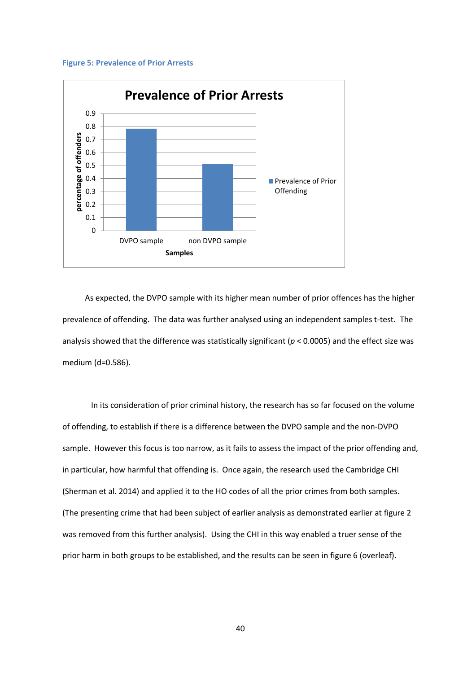#### **Figure 5: Prevalence of Prior Arrests**



As expected, the DVPO sample with its higher mean number of prior offences has the higher prevalence of offending. The data was further analysed using an independent samples t-test. The analysis showed that the difference was statistically significant (*p* < 0.0005) and the effect size was medium (d=0.586).

In its consideration of prior criminal history, the research has so far focused on the volume of offending, to establish if there is a difference between the DVPO sample and the non-DVPO sample. However this focus is too narrow, as it fails to assess the impact of the prior offending and, in particular, how harmful that offending is. Once again, the research used the Cambridge CHI (Sherman et al. 2014) and applied it to the HO codes of all the prior crimes from both samples. (The presenting crime that had been subject of earlier analysis as demonstrated earlier at figure 2 was removed from this further analysis). Using the CHI in this way enabled a truer sense of the prior harm in both groups to be established, and the results can be seen in figure 6 (overleaf).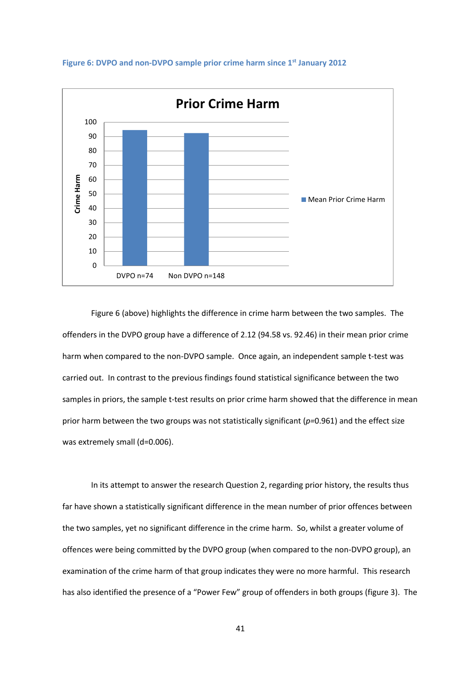

#### **Figure 6: DVPO and non-DVPO sample prior crime harm since 1st January 2012**

Figure 6 (above) highlights the difference in crime harm between the two samples. The offenders in the DVPO group have a difference of 2.12 (94.58 vs. 92.46) in their mean prior crime harm when compared to the non-DVPO sample. Once again, an independent sample t-test was carried out. In contrast to the previous findings found statistical significance between the two samples in priors, the sample t-test results on prior crime harm showed that the difference in mean prior harm between the two groups was not statistically significant (*p=*0.961) and the effect size was extremely small (d=0.006).

In its attempt to answer the research Question 2, regarding prior history, the results thus far have shown a statistically significant difference in the mean number of prior offences between the two samples, yet no significant difference in the crime harm. So, whilst a greater volume of offences were being committed by the DVPO group (when compared to the non-DVPO group), an examination of the crime harm of that group indicates they were no more harmful. This research has also identified the presence of a "Power Few" group of offenders in both groups (figure 3). The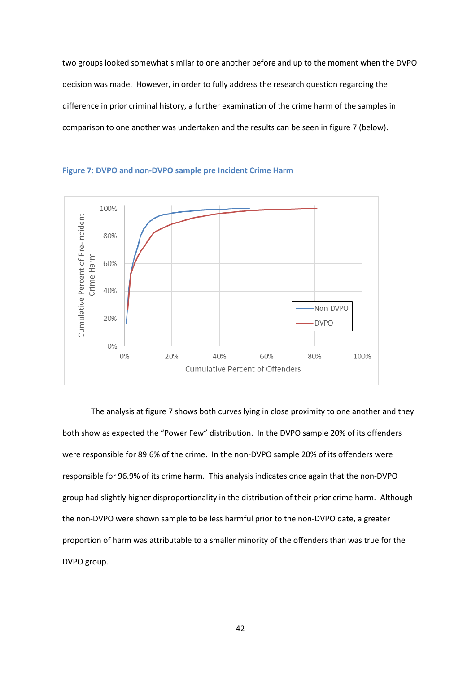two groups looked somewhat similar to one another before and up to the moment when the DVPO decision was made. However, in order to fully address the research question regarding the difference in prior criminal history, a further examination of the crime harm of the samples in comparison to one another was undertaken and the results can be seen in figure 7 (below).



**Figure 7: DVPO and non-DVPO sample pre Incident Crime Harm** 

The analysis at figure 7 shows both curves lying in close proximity to one another and they both show as expected the "Power Few" distribution. In the DVPO sample 20% of its offenders were responsible for 89.6% of the crime. In the non-DVPO sample 20% of its offenders were responsible for 96.9% of its crime harm. This analysis indicates once again that the non-DVPO group had slightly higher disproportionality in the distribution of their prior crime harm. Although the non-DVPO were shown sample to be less harmful prior to the non-DVPO date, a greater proportion of harm was attributable to a smaller minority of the offenders than was true for the DVPO group.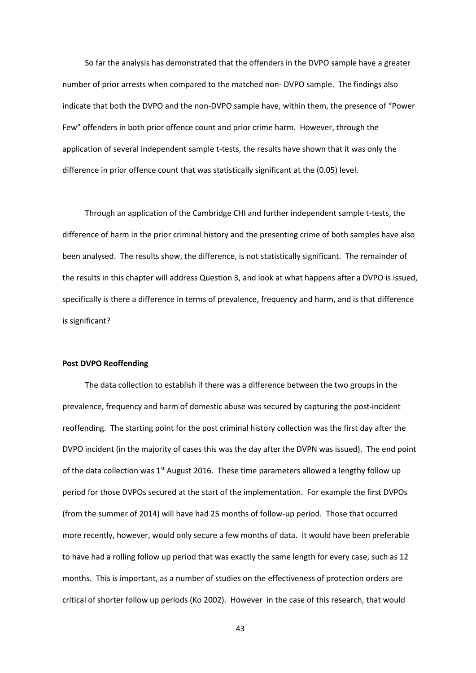So far the analysis has demonstrated that the offenders in the DVPO sample have a greater number of prior arrests when compared to the matched non- DVPO sample. The findings also indicate that both the DVPO and the non-DVPO sample have, within them, the presence of "Power Few" offenders in both prior offence count and prior crime harm. However, through the application of several independent sample t-tests, the results have shown that it was only the difference in prior offence count that was statistically significant at the (0.05) level.

Through an application of the Cambridge CHI and further independent sample t-tests, the difference of harm in the prior criminal history and the presenting crime of both samples have also been analysed. The results show, the difference, is not statistically significant. The remainder of the results in this chapter will address Question 3, and look at what happens after a DVPO is issued, specifically is there a difference in terms of prevalence, frequency and harm, and is that difference is significant?

### **Post DVPO Reoffending**

The data collection to establish if there was a difference between the two groups in the prevalence, frequency and harm of domestic abuse was secured by capturing the post-incident reoffending. The starting point for the post criminal history collection was the first day after the DVPO incident (in the majority of cases this was the day after the DVPN was issued). The end point of the data collection was  $1<sup>st</sup>$  August 2016. These time parameters allowed a lengthy follow up period for those DVPOs secured at the start of the implementation. For example the first DVPOs (from the summer of 2014) will have had 25 months of follow-up period. Those that occurred more recently, however, would only secure a few months of data. It would have been preferable to have had a rolling follow up period that was exactly the same length for every case, such as 12 months. This is important, as a number of studies on the effectiveness of protection orders are critical of shorter follow up periods (Ko 2002). However in the case of this research, that would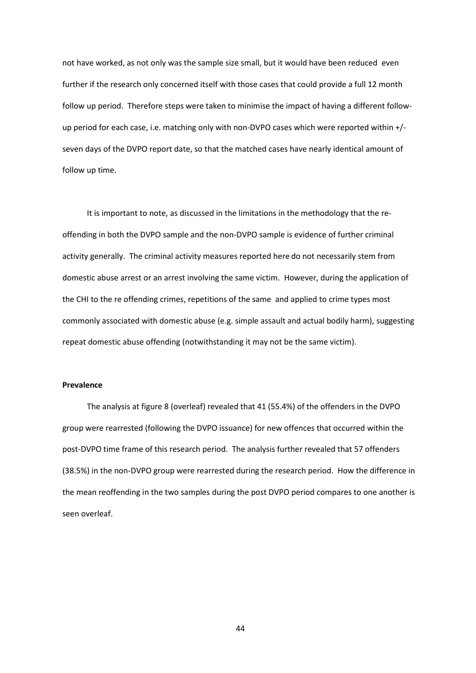not have worked, as not only was the sample size small, but it would have been reduced even further if the research only concerned itself with those cases that could provide a full 12 month follow up period. Therefore steps were taken to minimise the impact of having a different followup period for each case, i.e. matching only with non-DVPO cases which were reported within +/ seven days of the DVPO report date, so that the matched cases have nearly identical amount of follow up time.

It is important to note, as discussed in the limitations in the methodology that the reoffending in both the DVPO sample and the non-DVPO sample is evidence of further criminal activity generally. The criminal activity measures reported here do not necessarily stem from domestic abuse arrest or an arrest involving the same victim. However, during the application of the CHI to the re offending crimes, repetitions of the same and applied to crime types most commonly associated with domestic abuse (e.g. simple assault and actual bodily harm), suggesting repeat domestic abuse offending (notwithstanding it may not be the same victim).

### **Prevalence**

The analysis at figure 8 (overleaf) revealed that 41 (55.4%) of the offenders in the DVPO group were rearrested (following the DVPO issuance) for new offences that occurred within the post-DVPO time frame of this research period. The analysis further revealed that 57 offenders (38.5%) in the non-DVPO group were rearrested during the research period. How the difference in the mean reoffending in the two samples during the post DVPO period compares to one another is seen overleaf.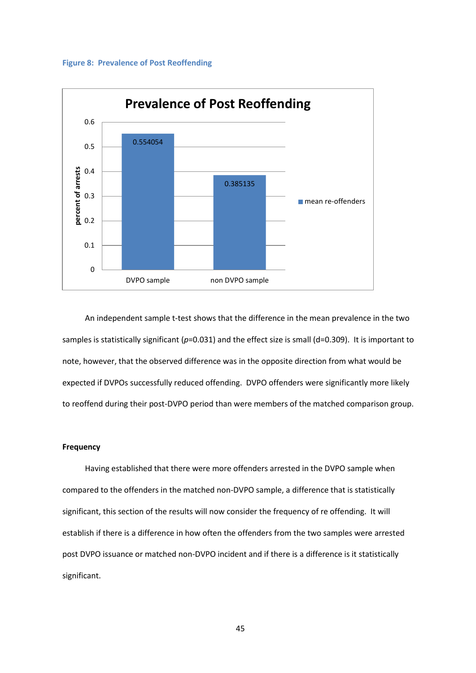#### **Figure 8: Prevalence of Post Reoffending**



An independent sample t-test shows that the difference in the mean prevalence in the two samples is statistically significant (*p*=0.031) and the effect size is small (d=0.309). It is important to note, however, that the observed difference was in the opposite direction from what would be expected if DVPOs successfully reduced offending. DVPO offenders were significantly more likely to reoffend during their post-DVPO period than were members of the matched comparison group.

## **Frequency**

Having established that there were more offenders arrested in the DVPO sample when compared to the offenders in the matched non-DVPO sample, a difference that is statistically significant, this section of the results will now consider the frequency of re offending. It will establish if there is a difference in how often the offenders from the two samples were arrested post DVPO issuance or matched non-DVPO incident and if there is a difference is it statistically significant.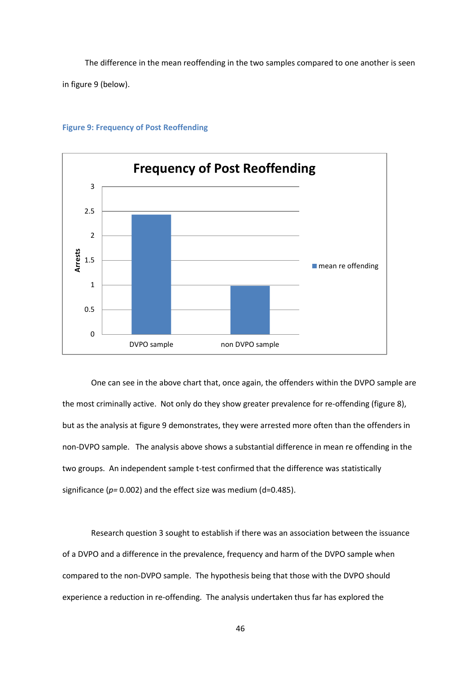The difference in the mean reoffending in the two samples compared to one another is seen in figure 9 (below).



### **Figure 9: Frequency of Post Reoffending**

One can see in the above chart that, once again, the offenders within the DVPO sample are the most criminally active. Not only do they show greater prevalence for re-offending (figure 8), but as the analysis at figure 9 demonstrates, they were arrested more often than the offenders in non-DVPO sample. The analysis above shows a substantial difference in mean re offending in the two groups. An independent sample t-test confirmed that the difference was statistically significance ( $p=0.002$ ) and the effect size was medium (d=0.485).

Research question 3 sought to establish if there was an association between the issuance of a DVPO and a difference in the prevalence, frequency and harm of the DVPO sample when compared to the non-DVPO sample. The hypothesis being that those with the DVPO should experience a reduction in re-offending. The analysis undertaken thus far has explored the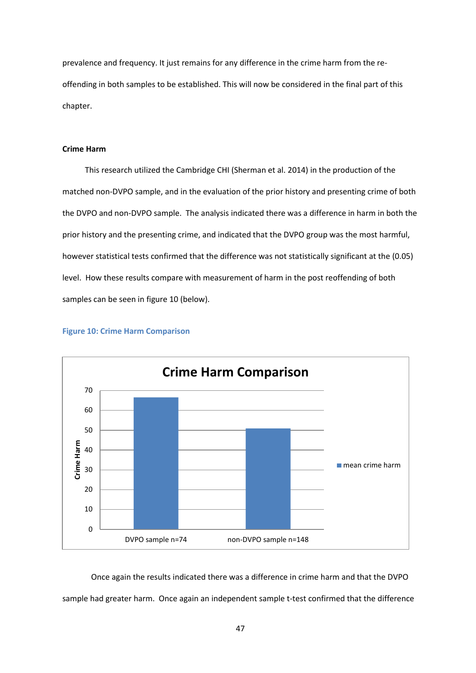prevalence and frequency. It just remains for any difference in the crime harm from the reoffending in both samples to be established. This will now be considered in the final part of this chapter.

# **Crime Harm**

This research utilized the Cambridge CHI (Sherman et al. 2014) in the production of the matched non-DVPO sample, and in the evaluation of the prior history and presenting crime of both the DVPO and non-DVPO sample. The analysis indicated there was a difference in harm in both the prior history and the presenting crime, and indicated that the DVPO group was the most harmful, however statistical tests confirmed that the difference was not statistically significant at the (0.05) level. How these results compare with measurement of harm in the post reoffending of both samples can be seen in figure 10 (below).



#### **Figure 10: Crime Harm Comparison**

Once again the results indicated there was a difference in crime harm and that the DVPO sample had greater harm. Once again an independent sample t-test confirmed that the difference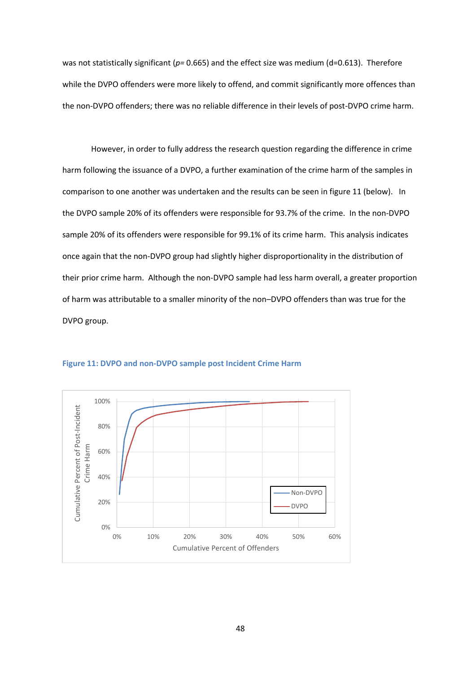was not statistically significant ( $p=0.665$ ) and the effect size was medium (d=0.613). Therefore while the DVPO offenders were more likely to offend, and commit significantly more offences than the non-DVPO offenders; there was no reliable difference in their levels of post-DVPO crime harm.

However, in order to fully address the research question regarding the difference in crime harm following the issuance of a DVPO, a further examination of the crime harm of the samples in comparison to one another was undertaken and the results can be seen in figure 11 (below). In the DVPO sample 20% of its offenders were responsible for 93.7% of the crime. In the non-DVPO sample 20% of its offenders were responsible for 99.1% of its crime harm. This analysis indicates once again that the non-DVPO group had slightly higher disproportionality in the distribution of their prior crime harm. Although the non-DVPO sample had less harm overall, a greater proportion of harm was attributable to a smaller minority of the non–DVPO offenders than was true for the DVPO group.



### **Figure 11: DVPO and non-DVPO sample post Incident Crime Harm**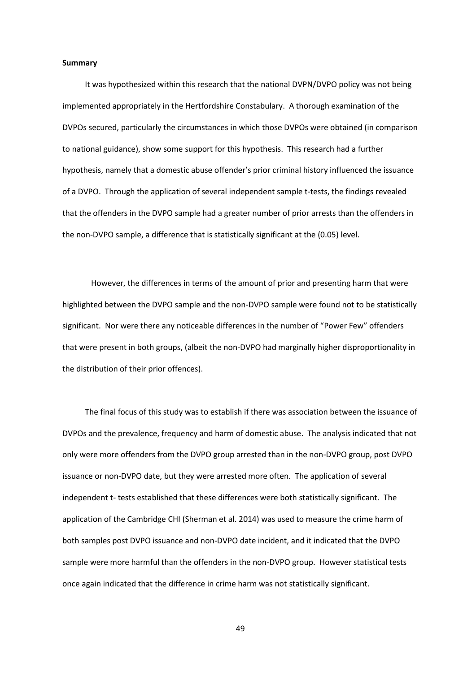#### **Summary**

It was hypothesized within this research that the national DVPN/DVPO policy was not being implemented appropriately in the Hertfordshire Constabulary. A thorough examination of the DVPOs secured, particularly the circumstances in which those DVPOs were obtained (in comparison to national guidance), show some support for this hypothesis. This research had a further hypothesis, namely that a domestic abuse offender's prior criminal history influenced the issuance of a DVPO. Through the application of several independent sample t-tests, the findings revealed that the offenders in the DVPO sample had a greater number of prior arrests than the offenders in the non-DVPO sample, a difference that is statistically significant at the (0.05) level.

However, the differences in terms of the amount of prior and presenting harm that were highlighted between the DVPO sample and the non-DVPO sample were found not to be statistically significant. Nor were there any noticeable differences in the number of "Power Few" offenders that were present in both groups, (albeit the non-DVPO had marginally higher disproportionality in the distribution of their prior offences).

The final focus of this study was to establish if there was association between the issuance of DVPOs and the prevalence, frequency and harm of domestic abuse. The analysis indicated that not only were more offenders from the DVPO group arrested than in the non-DVPO group, post DVPO issuance or non-DVPO date, but they were arrested more often. The application of several independent t- tests established that these differences were both statistically significant. The application of the Cambridge CHI (Sherman et al. 2014) was used to measure the crime harm of both samples post DVPO issuance and non-DVPO date incident, and it indicated that the DVPO sample were more harmful than the offenders in the non-DVPO group. However statistical tests once again indicated that the difference in crime harm was not statistically significant.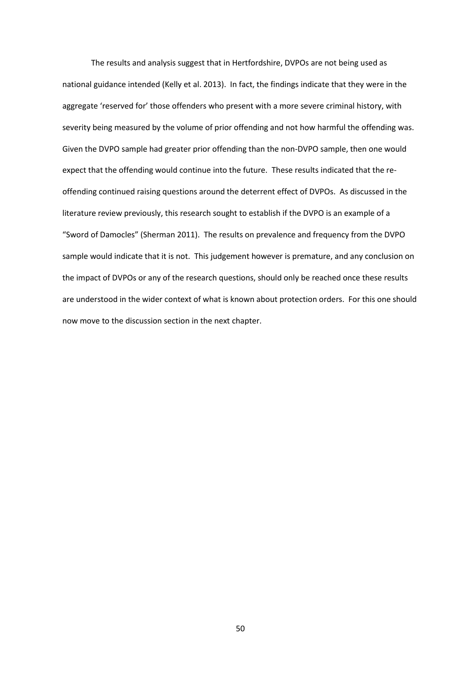The results and analysis suggest that in Hertfordshire, DVPOs are not being used as national guidance intended (Kelly et al. 2013). In fact, the findings indicate that they were in the aggregate 'reserved for' those offenders who present with a more severe criminal history, with severity being measured by the volume of prior offending and not how harmful the offending was. Given the DVPO sample had greater prior offending than the non-DVPO sample, then one would expect that the offending would continue into the future. These results indicated that the reoffending continued raising questions around the deterrent effect of DVPOs. As discussed in the literature review previously, this research sought to establish if the DVPO is an example of a "Sword of Damocles" (Sherman 2011). The results on prevalence and frequency from the DVPO sample would indicate that it is not. This judgement however is premature, and any conclusion on the impact of DVPOs or any of the research questions, should only be reached once these results are understood in the wider context of what is known about protection orders. For this one should now move to the discussion section in the next chapter.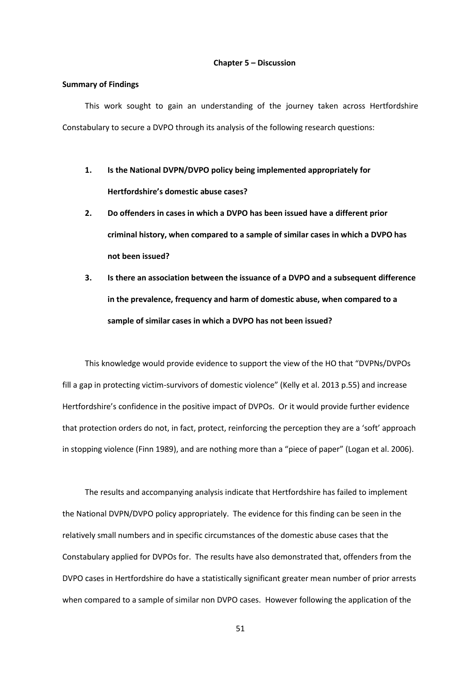#### **Chapter 5 – Discussion**

### **Summary of Findings**

This work sought to gain an understanding of the journey taken across Hertfordshire Constabulary to secure a DVPO through its analysis of the following research questions:

- **1. Is the National DVPN/DVPO policy being implemented appropriately for Hertfordshire's domestic abuse cases?**
- **2. Do offenders in cases in which a DVPO has been issued have a different prior criminal history, when compared to a sample of similar cases in which a DVPO has not been issued?**
- **3. Is there an association between the issuance of a DVPO and a subsequent difference in the prevalence, frequency and harm of domestic abuse, when compared to a sample of similar cases in which a DVPO has not been issued?**

This knowledge would provide evidence to support the view of the HO that "DVPNs/DVPOs fill a gap in protecting victim-survivors of domestic violence" (Kelly et al. 2013 p.55) and increase Hertfordshire's confidence in the positive impact of DVPOs. Or it would provide further evidence that protection orders do not, in fact, protect, reinforcing the perception they are a 'soft' approach in stopping violence (Finn 1989), and are nothing more than a "piece of paper" (Logan et al. 2006).

The results and accompanying analysis indicate that Hertfordshire has failed to implement the National DVPN/DVPO policy appropriately. The evidence for this finding can be seen in the relatively small numbers and in specific circumstances of the domestic abuse cases that the Constabulary applied for DVPOs for. The results have also demonstrated that, offenders from the DVPO cases in Hertfordshire do have a statistically significant greater mean number of prior arrests when compared to a sample of similar non DVPO cases. However following the application of the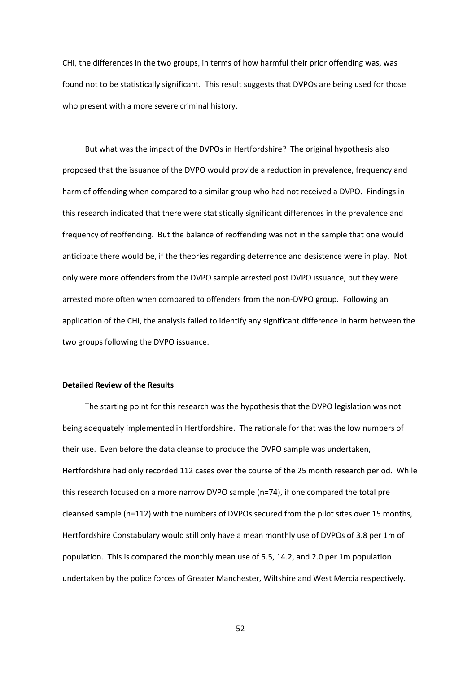CHI, the differences in the two groups, in terms of how harmful their prior offending was, was found not to be statistically significant. This result suggests that DVPOs are being used for those who present with a more severe criminal history.

But what was the impact of the DVPOs in Hertfordshire? The original hypothesis also proposed that the issuance of the DVPO would provide a reduction in prevalence, frequency and harm of offending when compared to a similar group who had not received a DVPO. Findings in this research indicated that there were statistically significant differences in the prevalence and frequency of reoffending. But the balance of reoffending was not in the sample that one would anticipate there would be, if the theories regarding deterrence and desistence were in play. Not only were more offenders from the DVPO sample arrested post DVPO issuance, but they were arrested more often when compared to offenders from the non-DVPO group. Following an application of the CHI, the analysis failed to identify any significant difference in harm between the two groups following the DVPO issuance.

# **Detailed Review of the Results**

The starting point for this research was the hypothesis that the DVPO legislation was not being adequately implemented in Hertfordshire. The rationale for that was the low numbers of their use. Even before the data cleanse to produce the DVPO sample was undertaken, Hertfordshire had only recorded 112 cases over the course of the 25 month research period. While this research focused on a more narrow DVPO sample (n=74), if one compared the total pre cleansed sample (n=112) with the numbers of DVPOs secured from the pilot sites over 15 months, Hertfordshire Constabulary would still only have a mean monthly use of DVPOs of 3.8 per 1m of population. This is compared the monthly mean use of 5.5, 14.2, and 2.0 per 1m population undertaken by the police forces of Greater Manchester, Wiltshire and West Mercia respectively.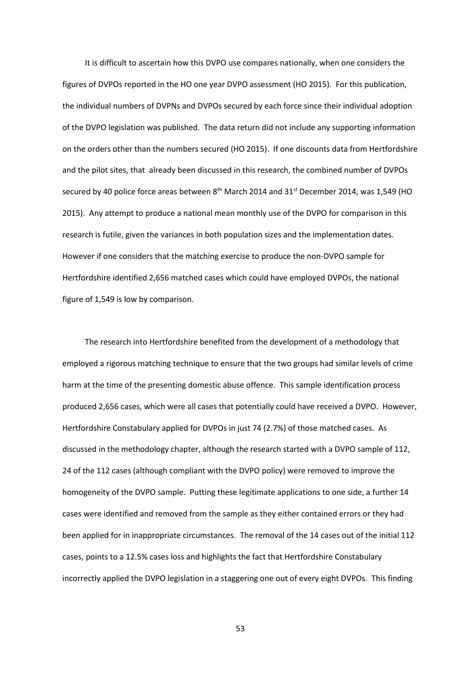It is difficult to ascertain how this DVPO use compares nationally, when one considers the figures of DVPOs reported in the HO one year DVPO assessment (HO 2015). For this publication, the individual numbers of DVPNs and DVPOs secured by each force since their individual adoption of the DVPO legislation was published. The data return did not include any supporting information on the orders other than the numbers secured (HO 2015). If one discounts data from Hertfordshire and the pilot sites, that already been discussed in this research, the combined number of DVPOs secured by 40 police force areas between 8<sup>th</sup> March 2014 and 31<sup>st</sup> December 2014, was 1,549 (HO 2015). Any attempt to produce a national mean monthly use of the DVPO for comparison in this research is futile, given the variances in both population sizes and the implementation dates. However if one considers that the matching exercise to produce the non-DVPO sample for Hertfordshire identified 2,656 matched cases which could have employed DVPOs, the national figure of 1,549 is low by comparison.

The research into Hertfordshire benefited from the development of a methodology that employed a rigorous matching technique to ensure that the two groups had similar levels of crime harm at the time of the presenting domestic abuse offence. This sample identification process produced 2,656 cases, which were all cases that potentially could have received a DVPO. However, Hertfordshire Constabulary applied for DVPOs in just 74 (2.7%) of those matched cases. As discussed in the methodology chapter, although the research started with a DVPO sample of 112, 24 of the 112 cases (although compliant with the DVPO policy) were removed to improve the homogeneity of the DVPO sample. Putting these legitimate applications to one side, a further 14 cases were identified and removed from the sample as they either contained errors or they had been applied for in inappropriate circumstances. The removal of the 14 cases out of the initial 112 cases, points to a 12.5% cases loss and highlights the fact that Hertfordshire Constabulary incorrectly applied the DVPO legislation in a staggering one out of every eight DVPOs. This finding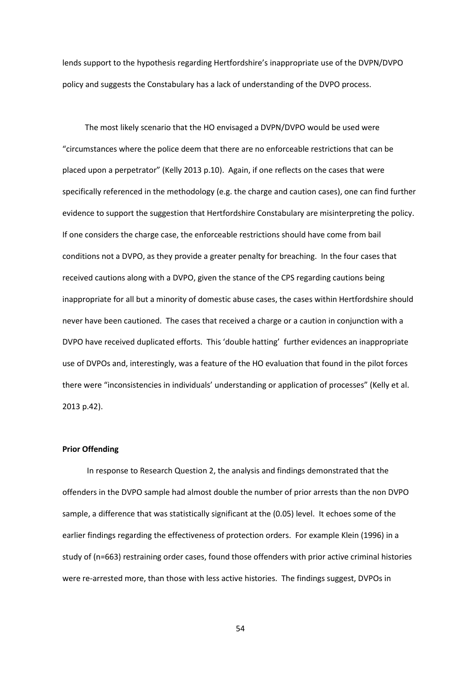lends support to the hypothesis regarding Hertfordshire's inappropriate use of the DVPN/DVPO policy and suggests the Constabulary has a lack of understanding of the DVPO process.

The most likely scenario that the HO envisaged a DVPN/DVPO would be used were "circumstances where the police deem that there are no enforceable restrictions that can be placed upon a perpetrator" (Kelly 2013 p.10). Again, if one reflects on the cases that were specifically referenced in the methodology (e.g. the charge and caution cases), one can find further evidence to support the suggestion that Hertfordshire Constabulary are misinterpreting the policy. If one considers the charge case, the enforceable restrictions should have come from bail conditions not a DVPO, as they provide a greater penalty for breaching. In the four cases that received cautions along with a DVPO, given the stance of the CPS regarding cautions being inappropriate for all but a minority of domestic abuse cases, the cases within Hertfordshire should never have been cautioned. The cases that received a charge or a caution in conjunction with a DVPO have received duplicated efforts. This 'double hatting' further evidences an inappropriate use of DVPOs and, interestingly, was a feature of the HO evaluation that found in the pilot forces there were "inconsistencies in individuals' understanding or application of processes" (Kelly et al. 2013 p.42).

# **Prior Offending**

In response to Research Question 2, the analysis and findings demonstrated that the offenders in the DVPO sample had almost double the number of prior arrests than the non DVPO sample, a difference that was statistically significant at the (0.05) level. It echoes some of the earlier findings regarding the effectiveness of protection orders. For example Klein (1996) in a study of (n=663) restraining order cases, found those offenders with prior active criminal histories were re-arrested more, than those with less active histories. The findings suggest, DVPOs in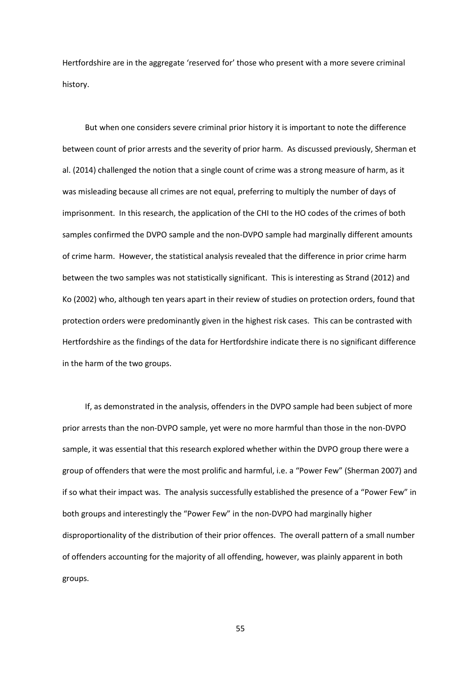Hertfordshire are in the aggregate 'reserved for' those who present with a more severe criminal history.

But when one considers severe criminal prior history it is important to note the difference between count of prior arrests and the severity of prior harm. As discussed previously, Sherman et al. (2014) challenged the notion that a single count of crime was a strong measure of harm, as it was misleading because all crimes are not equal, preferring to multiply the number of days of imprisonment. In this research, the application of the CHI to the HO codes of the crimes of both samples confirmed the DVPO sample and the non-DVPO sample had marginally different amounts of crime harm. However, the statistical analysis revealed that the difference in prior crime harm between the two samples was not statistically significant. This is interesting as Strand (2012) and Ko (2002) who, although ten years apart in their review of studies on protection orders, found that protection orders were predominantly given in the highest risk cases. This can be contrasted with Hertfordshire as the findings of the data for Hertfordshire indicate there is no significant difference in the harm of the two groups.

If, as demonstrated in the analysis, offenders in the DVPO sample had been subject of more prior arrests than the non-DVPO sample, yet were no more harmful than those in the non-DVPO sample, it was essential that this research explored whether within the DVPO group there were a group of offenders that were the most prolific and harmful, i.e. a "Power Few" (Sherman 2007) and if so what their impact was. The analysis successfully established the presence of a "Power Few" in both groups and interestingly the "Power Few" in the non-DVPO had marginally higher disproportionality of the distribution of their prior offences. The overall pattern of a small number of offenders accounting for the majority of all offending, however, was plainly apparent in both groups.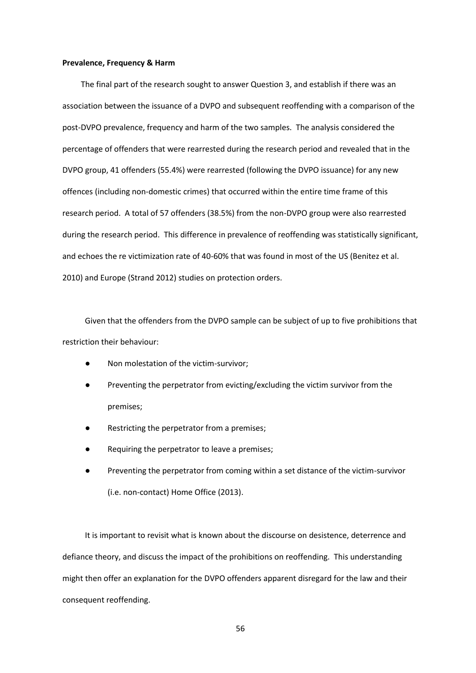### **Prevalence, Frequency & Harm**

The final part of the research sought to answer Question 3, and establish if there was an association between the issuance of a DVPO and subsequent reoffending with a comparison of the post-DVPO prevalence, frequency and harm of the two samples. The analysis considered the percentage of offenders that were rearrested during the research period and revealed that in the DVPO group, 41 offenders (55.4%) were rearrested (following the DVPO issuance) for any new offences (including non-domestic crimes) that occurred within the entire time frame of this research period. A total of 57 offenders (38.5%) from the non-DVPO group were also rearrested during the research period. This difference in prevalence of reoffending was statistically significant, and echoes the re victimization rate of 40-60% that was found in most of the US (Benitez et al. 2010) and Europe (Strand 2012) studies on protection orders.

Given that the offenders from the DVPO sample can be subject of up to five prohibitions that restriction their behaviour:

- Non molestation of the victim-survivor:
- Preventing the perpetrator from evicting/excluding the victim survivor from the premises;
- Restricting the perpetrator from a premises;
- Requiring the perpetrator to leave a premises;
- Preventing the perpetrator from coming within a set distance of the victim-survivor (i.e. non-contact) Home Office (2013).

It is important to revisit what is known about the discourse on desistence, deterrence and defiance theory, and discuss the impact of the prohibitions on reoffending. This understanding might then offer an explanation for the DVPO offenders apparent disregard for the law and their consequent reoffending.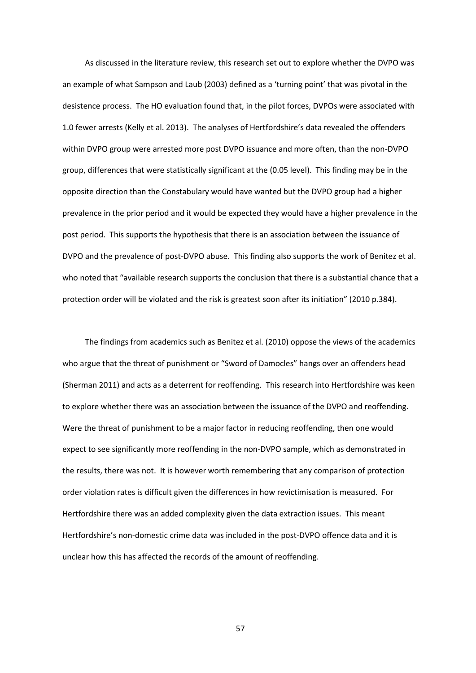As discussed in the literature review, this research set out to explore whether the DVPO was an example of what Sampson and Laub (2003) defined as a 'turning point' that was pivotal in the desistence process. The HO evaluation found that, in the pilot forces, DVPOs were associated with 1.0 fewer arrests (Kelly et al. 2013). The analyses of Hertfordshire's data revealed the offenders within DVPO group were arrested more post DVPO issuance and more often, than the non-DVPO group, differences that were statistically significant at the (0.05 level). This finding may be in the opposite direction than the Constabulary would have wanted but the DVPO group had a higher prevalence in the prior period and it would be expected they would have a higher prevalence in the post period. This supports the hypothesis that there is an association between the issuance of DVPO and the prevalence of post-DVPO abuse. This finding also supports the work of Benitez et al. who noted that "available research supports the conclusion that there is a substantial chance that a protection order will be violated and the risk is greatest soon after its initiation" (2010 p.384).

The findings from academics such as Benitez et al. (2010) oppose the views of the academics who argue that the threat of punishment or "Sword of Damocles" hangs over an offenders head (Sherman 2011) and acts as a deterrent for reoffending. This research into Hertfordshire was keen to explore whether there was an association between the issuance of the DVPO and reoffending. Were the threat of punishment to be a major factor in reducing reoffending, then one would expect to see significantly more reoffending in the non-DVPO sample, which as demonstrated in the results, there was not. It is however worth remembering that any comparison of protection order violation rates is difficult given the differences in how revictimisation is measured. For Hertfordshire there was an added complexity given the data extraction issues. This meant Hertfordshire's non-domestic crime data was included in the post-DVPO offence data and it is unclear how this has affected the records of the amount of reoffending.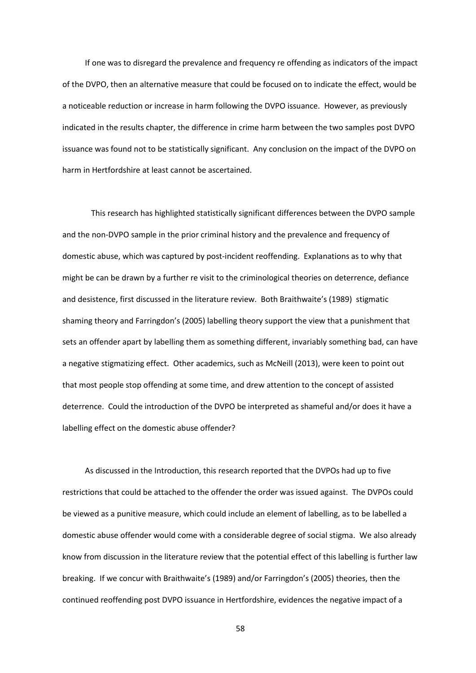If one was to disregard the prevalence and frequency re offending as indicators of the impact of the DVPO, then an alternative measure that could be focused on to indicate the effect, would be a noticeable reduction or increase in harm following the DVPO issuance. However, as previously indicated in the results chapter, the difference in crime harm between the two samples post DVPO issuance was found not to be statistically significant. Any conclusion on the impact of the DVPO on harm in Hertfordshire at least cannot be ascertained.

This research has highlighted statistically significant differences between the DVPO sample and the non-DVPO sample in the prior criminal history and the prevalence and frequency of domestic abuse, which was captured by post-incident reoffending. Explanations as to why that might be can be drawn by a further re visit to the criminological theories on deterrence, defiance and desistence, first discussed in the literature review. Both Braithwaite's (1989) stigmatic shaming theory and Farringdon's (2005) labelling theory support the view that a punishment that sets an offender apart by labelling them as something different, invariably something bad, can have a negative stigmatizing effect. Other academics, such as McNeill (2013), were keen to point out that most people stop offending at some time, and drew attention to the concept of assisted deterrence. Could the introduction of the DVPO be interpreted as shameful and/or does it have a labelling effect on the domestic abuse offender?

As discussed in the Introduction, this research reported that the DVPOs had up to five restrictions that could be attached to the offender the order was issued against. The DVPOs could be viewed as a punitive measure, which could include an element of labelling, as to be labelled a domestic abuse offender would come with a considerable degree of social stigma. We also already know from discussion in the literature review that the potential effect of this labelling is further law breaking. If we concur with Braithwaite's (1989) and/or Farringdon's (2005) theories, then the continued reoffending post DVPO issuance in Hertfordshire, evidences the negative impact of a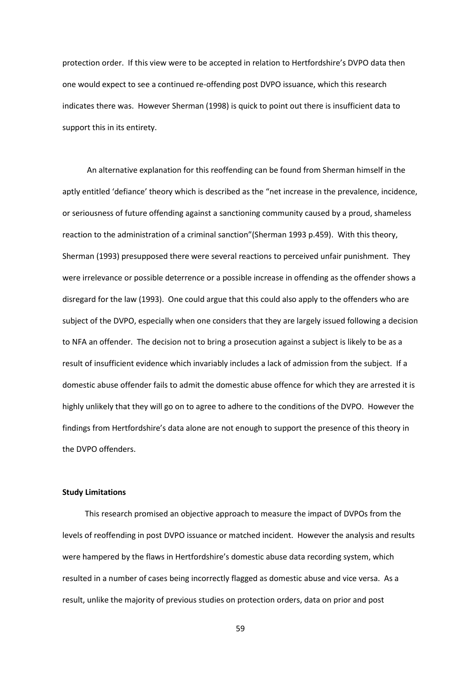protection order. If this view were to be accepted in relation to Hertfordshire's DVPO data then one would expect to see a continued re-offending post DVPO issuance, which this research indicates there was. However Sherman (1998) is quick to point out there is insufficient data to support this in its entirety.

An alternative explanation for this reoffending can be found from Sherman himself in the aptly entitled 'defiance' theory which is described as the "net increase in the prevalence, incidence, or seriousness of future offending against a sanctioning community caused by a proud, shameless reaction to the administration of a criminal sanction"(Sherman 1993 p.459). With this theory, Sherman (1993) presupposed there were several reactions to perceived unfair punishment. They were irrelevance or possible deterrence or a possible increase in offending as the offender shows a disregard for the law (1993). One could argue that this could also apply to the offenders who are subject of the DVPO, especially when one considers that they are largely issued following a decision to NFA an offender. The decision not to bring a prosecution against a subject is likely to be as a result of insufficient evidence which invariably includes a lack of admission from the subject. If a domestic abuse offender fails to admit the domestic abuse offence for which they are arrested it is highly unlikely that they will go on to agree to adhere to the conditions of the DVPO. However the findings from Hertfordshire's data alone are not enough to support the presence of this theory in the DVPO offenders.

# **Study Limitations**

This research promised an objective approach to measure the impact of DVPOs from the levels of reoffending in post DVPO issuance or matched incident. However the analysis and results were hampered by the flaws in Hertfordshire's domestic abuse data recording system, which resulted in a number of cases being incorrectly flagged as domestic abuse and vice versa. As a result, unlike the majority of previous studies on protection orders, data on prior and post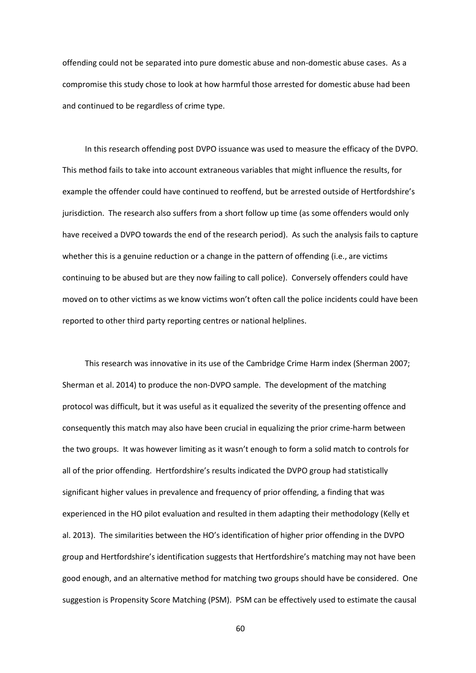offending could not be separated into pure domestic abuse and non-domestic abuse cases. As a compromise this study chose to look at how harmful those arrested for domestic abuse had been and continued to be regardless of crime type.

In this research offending post DVPO issuance was used to measure the efficacy of the DVPO. This method fails to take into account extraneous variables that might influence the results, for example the offender could have continued to reoffend, but be arrested outside of Hertfordshire's jurisdiction. The research also suffers from a short follow up time (as some offenders would only have received a DVPO towards the end of the research period). As such the analysis fails to capture whether this is a genuine reduction or a change in the pattern of offending (i.e., are victims continuing to be abused but are they now failing to call police). Conversely offenders could have moved on to other victims as we know victims won't often call the police incidents could have been reported to other third party reporting centres or national helplines.

This research was innovative in its use of the Cambridge Crime Harm index (Sherman 2007; Sherman et al. 2014) to produce the non-DVPO sample. The development of the matching protocol was difficult, but it was useful as it equalized the severity of the presenting offence and consequently this match may also have been crucial in equalizing the prior crime-harm between the two groups. It was however limiting as it wasn't enough to form a solid match to controls for all of the prior offending. Hertfordshire's results indicated the DVPO group had statistically significant higher values in prevalence and frequency of prior offending, a finding that was experienced in the HO pilot evaluation and resulted in them adapting their methodology (Kelly et al. 2013). The similarities between the HO's identification of higher prior offending in the DVPO group and Hertfordshire's identification suggests that Hertfordshire's matching may not have been good enough, and an alternative method for matching two groups should have be considered. One suggestion is Propensity Score Matching (PSM). PSM can be effectively used to estimate the causal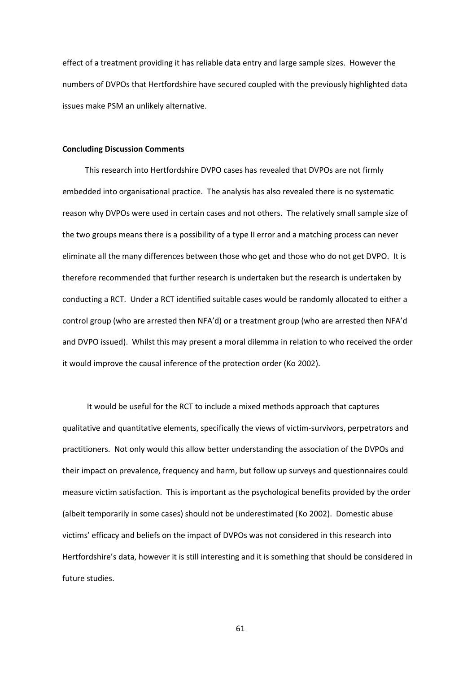effect of a treatment providing it has reliable data entry and large sample sizes. However the numbers of DVPOs that Hertfordshire have secured coupled with the previously highlighted data issues make PSM an unlikely alternative.

### **Concluding Discussion Comments**

This research into Hertfordshire DVPO cases has revealed that DVPOs are not firmly embedded into organisational practice. The analysis has also revealed there is no systematic reason why DVPOs were used in certain cases and not others. The relatively small sample size of the two groups means there is a possibility of a type II error and a matching process can never eliminate all the many differences between those who get and those who do not get DVPO. It is therefore recommended that further research is undertaken but the research is undertaken by conducting a RCT. Under a RCT identified suitable cases would be randomly allocated to either a control group (who are arrested then NFA'd) or a treatment group (who are arrested then NFA'd and DVPO issued). Whilst this may present a moral dilemma in relation to who received the order it would improve the causal inference of the protection order (Ko 2002).

It would be useful for the RCT to include a mixed methods approach that captures qualitative and quantitative elements, specifically the views of victim-survivors, perpetrators and practitioners. Not only would this allow better understanding the association of the DVPOs and their impact on prevalence, frequency and harm, but follow up surveys and questionnaires could measure victim satisfaction. This is important as the psychological benefits provided by the order (albeit temporarily in some cases) should not be underestimated (Ko 2002). Domestic abuse victims' efficacy and beliefs on the impact of DVPOs was not considered in this research into Hertfordshire's data, however it is still interesting and it is something that should be considered in future studies.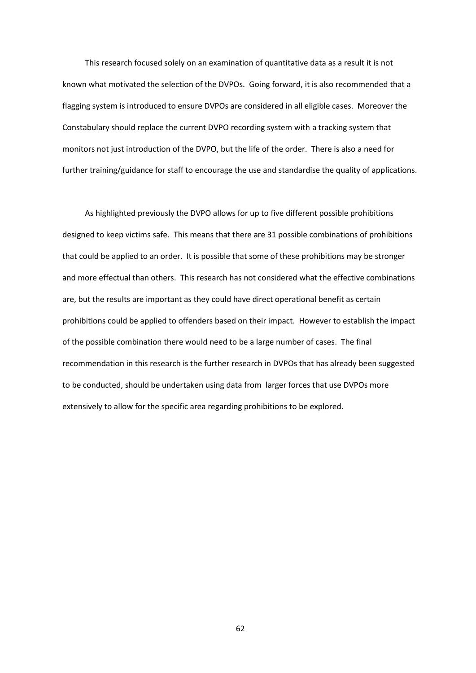This research focused solely on an examination of quantitative data as a result it is not known what motivated the selection of the DVPOs. Going forward, it is also recommended that a flagging system is introduced to ensure DVPOs are considered in all eligible cases. Moreover the Constabulary should replace the current DVPO recording system with a tracking system that monitors not just introduction of the DVPO, but the life of the order. There is also a need for further training/guidance for staff to encourage the use and standardise the quality of applications.

As highlighted previously the DVPO allows for up to five different possible prohibitions designed to keep victims safe. This means that there are 31 possible combinations of prohibitions that could be applied to an order. It is possible that some of these prohibitions may be stronger and more effectual than others. This research has not considered what the effective combinations are, but the results are important as they could have direct operational benefit as certain prohibitions could be applied to offenders based on their impact. However to establish the impact of the possible combination there would need to be a large number of cases. The final recommendation in this research is the further research in DVPOs that has already been suggested to be conducted, should be undertaken using data from larger forces that use DVPOs more extensively to allow for the specific area regarding prohibitions to be explored.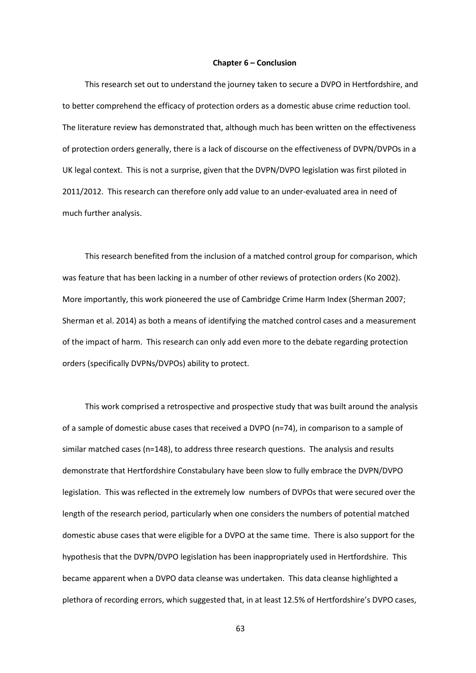#### **Chapter 6 – Conclusion**

This research set out to understand the journey taken to secure a DVPO in Hertfordshire, and to better comprehend the efficacy of protection orders as a domestic abuse crime reduction tool. The literature review has demonstrated that, although much has been written on the effectiveness of protection orders generally, there is a lack of discourse on the effectiveness of DVPN/DVPOs in a UK legal context. This is not a surprise, given that the DVPN/DVPO legislation was first piloted in 2011/2012. This research can therefore only add value to an under-evaluated area in need of much further analysis.

This research benefited from the inclusion of a matched control group for comparison, which was feature that has been lacking in a number of other reviews of protection orders (Ko 2002). More importantly, this work pioneered the use of Cambridge Crime Harm Index (Sherman 2007; Sherman et al. 2014) as both a means of identifying the matched control cases and a measurement of the impact of harm. This research can only add even more to the debate regarding protection orders (specifically DVPNs/DVPOs) ability to protect.

This work comprised a retrospective and prospective study that was built around the analysis of a sample of domestic abuse cases that received a DVPO (n=74), in comparison to a sample of similar matched cases (n=148), to address three research questions. The analysis and results demonstrate that Hertfordshire Constabulary have been slow to fully embrace the DVPN/DVPO legislation. This was reflected in the extremely low numbers of DVPOs that were secured over the length of the research period, particularly when one considers the numbers of potential matched domestic abuse cases that were eligible for a DVPO at the same time. There is also support for the hypothesis that the DVPN/DVPO legislation has been inappropriately used in Hertfordshire. This became apparent when a DVPO data cleanse was undertaken. This data cleanse highlighted a plethora of recording errors, which suggested that, in at least 12.5% of Hertfordshire's DVPO cases,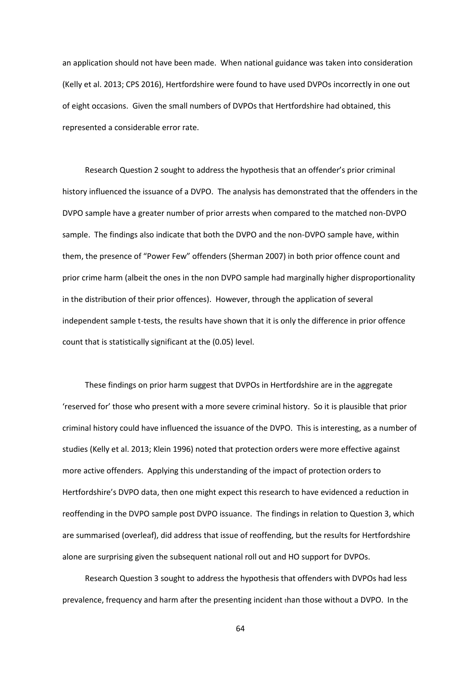an application should not have been made. When national guidance was taken into consideration (Kelly et al. 2013; CPS 2016), Hertfordshire were found to have used DVPOs incorrectly in one out of eight occasions. Given the small numbers of DVPOs that Hertfordshire had obtained, this represented a considerable error rate.

Research Question 2 sought to address the hypothesis that an offender's prior criminal history influenced the issuance of a DVPO. The analysis has demonstrated that the offenders in the DVPO sample have a greater number of prior arrests when compared to the matched non-DVPO sample. The findings also indicate that both the DVPO and the non-DVPO sample have, within them, the presence of "Power Few" offenders (Sherman 2007) in both prior offence count and prior crime harm (albeit the ones in the non DVPO sample had marginally higher disproportionality in the distribution of their prior offences). However, through the application of several independent sample t-tests, the results have shown that it is only the difference in prior offence count that is statistically significant at the (0.05) level.

These findings on prior harm suggest that DVPOs in Hertfordshire are in the aggregate 'reserved for' those who present with a more severe criminal history. So it is plausible that prior criminal history could have influenced the issuance of the DVPO. This is interesting, as a number of studies (Kelly et al. 2013; Klein 1996) noted that protection orders were more effective against more active offenders. Applying this understanding of the impact of protection orders to Hertfordshire's DVPO data, then one might expect this research to have evidenced a reduction in reoffending in the DVPO sample post DVPO issuance. The findings in relation to Question 3, which are summarised (overleaf), did address that issue of reoffending, but the results for Hertfordshire alone are surprising given the subsequent national roll out and HO support for DVPOs.

Research Question 3 sought to address the hypothesis that offenders with DVPOs had less prevalence, frequency and harm after the presenting incident than those without a DVPO. In the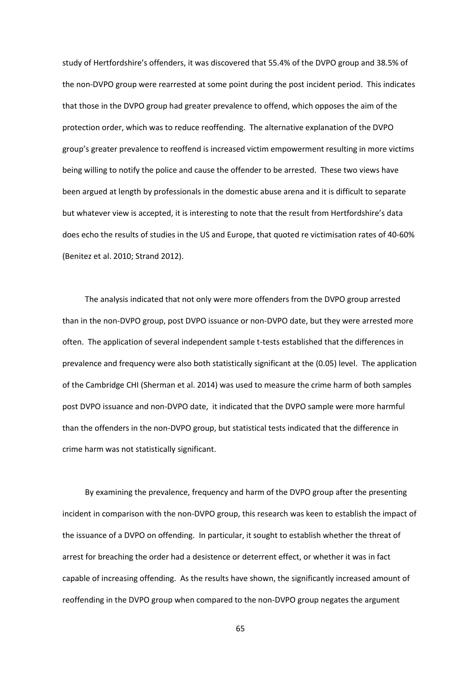study of Hertfordshire's offenders, it was discovered that 55.4% of the DVPO group and 38.5% of the non-DVPO group were rearrested at some point during the post incident period. This indicates that those in the DVPO group had greater prevalence to offend, which opposes the aim of the protection order, which was to reduce reoffending. The alternative explanation of the DVPO group's greater prevalence to reoffend is increased victim empowerment resulting in more victims being willing to notify the police and cause the offender to be arrested. These two views have been argued at length by professionals in the domestic abuse arena and it is difficult to separate but whatever view is accepted, it is interesting to note that the result from Hertfordshire's data does echo the results of studies in the US and Europe, that quoted re victimisation rates of 40-60% (Benitez et al. 2010; Strand 2012).

The analysis indicated that not only were more offenders from the DVPO group arrested than in the non-DVPO group, post DVPO issuance or non-DVPO date, but they were arrested more often. The application of several independent sample t-tests established that the differences in prevalence and frequency were also both statistically significant at the (0.05) level. The application of the Cambridge CHI (Sherman et al. 2014) was used to measure the crime harm of both samples post DVPO issuance and non-DVPO date, it indicated that the DVPO sample were more harmful than the offenders in the non-DVPO group, but statistical tests indicated that the difference in crime harm was not statistically significant.

By examining the prevalence, frequency and harm of the DVPO group after the presenting incident in comparison with the non-DVPO group, this research was keen to establish the impact of the issuance of a DVPO on offending. In particular, it sought to establish whether the threat of arrest for breaching the order had a desistence or deterrent effect, or whether it was in fact capable of increasing offending. As the results have shown, the significantly increased amount of reoffending in the DVPO group when compared to the non-DVPO group negates the argument

65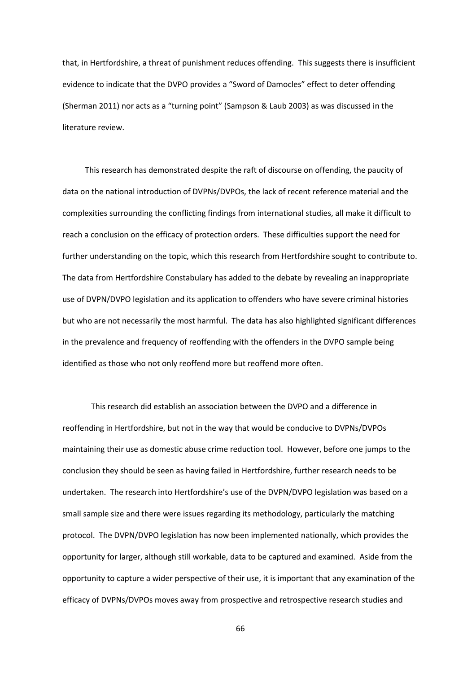that, in Hertfordshire, a threat of punishment reduces offending. This suggests there is insufficient evidence to indicate that the DVPO provides a "Sword of Damocles" effect to deter offending (Sherman 2011) nor acts as a "turning point" (Sampson & Laub 2003) as was discussed in the literature review.

This research has demonstrated despite the raft of discourse on offending, the paucity of data on the national introduction of DVPNs/DVPOs, the lack of recent reference material and the complexities surrounding the conflicting findings from international studies, all make it difficult to reach a conclusion on the efficacy of protection orders. These difficulties support the need for further understanding on the topic, which this research from Hertfordshire sought to contribute to. The data from Hertfordshire Constabulary has added to the debate by revealing an inappropriate use of DVPN/DVPO legislation and its application to offenders who have severe criminal histories but who are not necessarily the most harmful. The data has also highlighted significant differences in the prevalence and frequency of reoffending with the offenders in the DVPO sample being identified as those who not only reoffend more but reoffend more often.

This research did establish an association between the DVPO and a difference in reoffending in Hertfordshire, but not in the way that would be conducive to DVPNs/DVPOs maintaining their use as domestic abuse crime reduction tool. However, before one jumps to the conclusion they should be seen as having failed in Hertfordshire, further research needs to be undertaken. The research into Hertfordshire's use of the DVPN/DVPO legislation was based on a small sample size and there were issues regarding its methodology, particularly the matching protocol. The DVPN/DVPO legislation has now been implemented nationally, which provides the opportunity for larger, although still workable, data to be captured and examined. Aside from the opportunity to capture a wider perspective of their use, it is important that any examination of the efficacy of DVPNs/DVPOs moves away from prospective and retrospective research studies and

66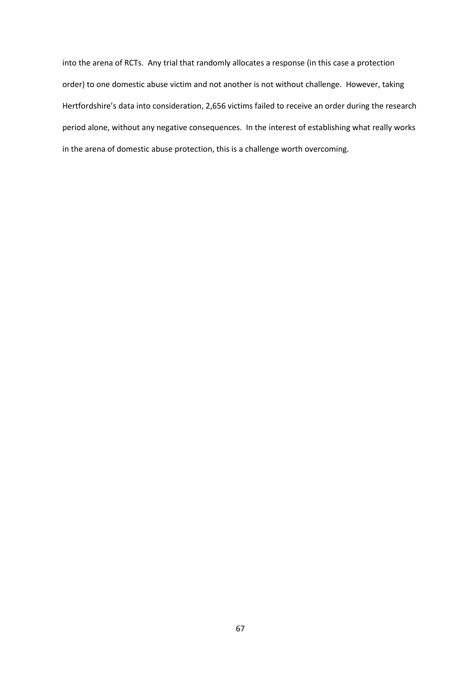into the arena of RCTs. Any trial that randomly allocates a response (in this case a protection order) to one domestic abuse victim and not another is not without challenge. However, taking Hertfordshire's data into consideration, 2,656 victims failed to receive an order during the research period alone, without any negative consequences. In the interest of establishing what really works in the arena of domestic abuse protection, this is a challenge worth overcoming.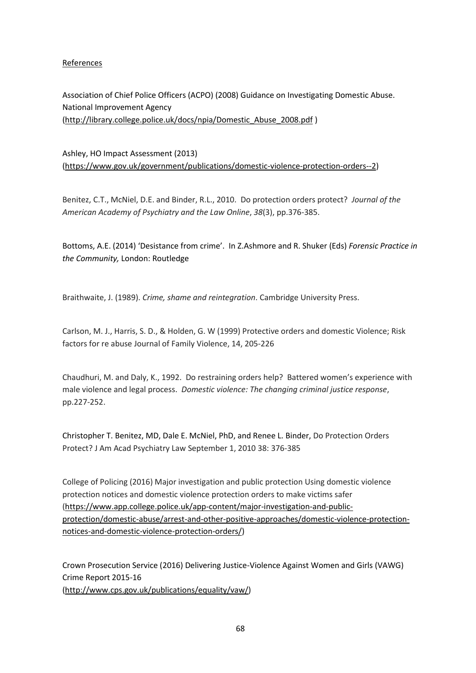## References

Association of Chief Police Officers (ACPO) (2008) Guidance on Investigating Domestic Abuse. National Improvement Agency [\(http://library.college.police.uk/docs/npia/Domestic\\_Abuse\\_2008.pdf](http://library.college.police.uk/docs/npia/Domestic_Abuse_2008.pdf) )

Ashley, HO Impact Assessment (2013) [\(https://www.gov.uk/government/publications/domestic-violence-protection-orders--2\)](https://www.gov.uk/government/publications/domestic-violence-protection-orders--2)

Benitez, C.T., McNiel, D.E. and Binder, R.L., 2010. Do protection orders protect? *Journal of the American Academy of Psychiatry and the Law Online*, *38*(3), pp.376-385.

Bottoms, A.E. (2014) 'Desistance from crime'. In Z.Ashmore and R. Shuker (Eds) *Forensic Practice in the Community,* London: Routledge

Braithwaite, J. (1989). *Crime, shame and reintegration*. Cambridge University Press.

Carlson, M. J., Harris, S. D., & Holden, G. W (1999) Protective orders and domestic Violence; Risk factors for re abuse Journal of Family Violence, 14, 205-226

Chaudhuri, M. and Daly, K., 1992. Do restraining orders help? Battered women's experience with male violence and legal process. *Domestic violence: The changing criminal justice response*, pp.227-252.

Christopher T. Benitez, MD, Dale E. McNiel, PhD, and Renee L. Binder, Do Protection Orders Protect? J Am Acad Psychiatry Law September 1, 2010 38: 376-385

College of Policing (2016) Major investigation and public protection Using domestic violence protection notices and domestic violence protection orders to make victims safer [\(https://www.app.college.police.uk/app-content/major-investigation-and-public](https://www.app.college.police.uk/app-content/major-investigation-and-public-protection/domestic-abuse/arrest-and-other-positive-approaches/domestic-violence-protection-notices-and-domestic-violence-protection-orders/)[protection/domestic-abuse/arrest-and-other-positive-approaches/domestic-violence-protection](https://www.app.college.police.uk/app-content/major-investigation-and-public-protection/domestic-abuse/arrest-and-other-positive-approaches/domestic-violence-protection-notices-and-domestic-violence-protection-orders/)[notices-and-domestic-violence-protection-orders/\)](https://www.app.college.police.uk/app-content/major-investigation-and-public-protection/domestic-abuse/arrest-and-other-positive-approaches/domestic-violence-protection-notices-and-domestic-violence-protection-orders/)

Crown Prosecution Service (2016) Delivering Justice-Violence Against Women and Girls (VAWG) Crime Report 2015-16 [\(http://www.cps.gov.uk/publications/equality/vaw/\)](http://www.cps.gov.uk/publications/equality/vaw/)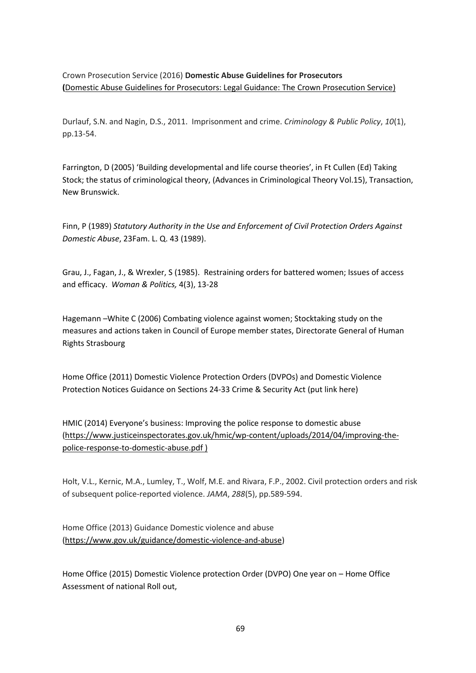Crown Prosecution Service (2016) **Domestic Abuse Guidelines for Prosecutors (**[Domestic Abuse Guidelines for Prosecutors: Legal Guidance: The Crown Prosecution Service\)](http://www.cps.gov.uk/legal/d_to_g/domestic_abuse_guidelines_for_prosecutors/)

Durlauf, S.N. and Nagin, D.S., 2011. Imprisonment and crime. *Criminology & Public Policy*, *10*(1), pp.13-54.

Farrington, D (2005) 'Building developmental and life course theories', in Ft Cullen (Ed) Taking Stock; the status of criminological theory, (Advances in Criminological Theory Vol.15), Transaction, New Brunswick.

Finn, P (1989) *Statutory Authority in the Use and Enforcement of Civil Protection Orders Against Domestic Abuse*, 23Fam. L. Q. 43 (1989).

Grau, J., Fagan, J., & Wrexler, S (1985). Restraining orders for battered women; Issues of access and efficacy. *Woman & Politics,* 4(3), 13-28

Hagemann –White C (2006) Combating violence against women; Stocktaking study on the measures and actions taken in Council of Europe member states, Directorate General of Human Rights Strasbourg

Home Office (2011) Domestic Violence Protection Orders (DVPOs) and Domestic Violence Protection Notices Guidance on Sections 24-33 Crime & Security Act (put link here)

HMIC (2014) Everyone's business: Improving the police response to domestic abuse [\(https://www.justiceinspectorates.gov.uk/hmic/wp-content/uploads/2014/04/improving-the](https://www.justiceinspectorates.gov.uk/hmic/wp-content/uploads/2014/04/improving-the-police-response-to-domestic-abuse.pdf)[police-response-to-domestic-abuse.pdf](https://www.justiceinspectorates.gov.uk/hmic/wp-content/uploads/2014/04/improving-the-police-response-to-domestic-abuse.pdf) )

Holt, V.L., Kernic, M.A., Lumley, T., Wolf, M.E. and Rivara, F.P., 2002. Civil protection orders and risk of subsequent police-reported violence. *JAMA*, *288*(5), pp.589-594.

Home Office (2013) Guidance Domestic violence and abuse [\(https://www.gov.uk/guidance/domestic-violence-and-abuse\)](https://www.gov.uk/guidance/domestic-violence-and-abuse)

Home Office (2015) Domestic Violence protection Order (DVPO) One year on – Home Office Assessment of national Roll out,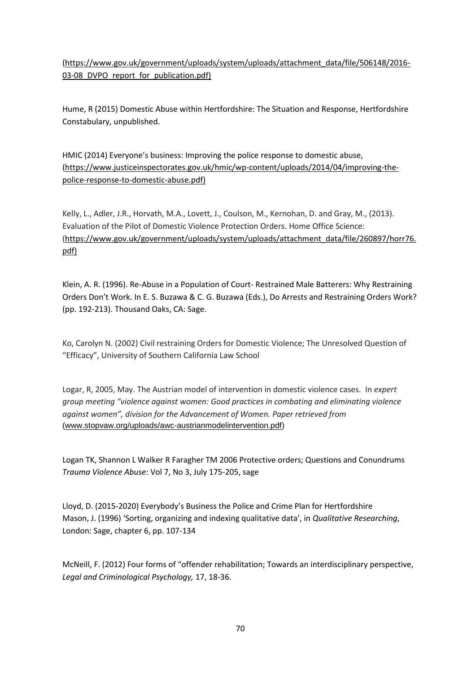[\(https://www.gov.uk/government/uploads/system/uploads/attachment\\_data/file/506148/2016-](https://www.gov.uk/government/uploads/system/uploads/attachment_data/file/506148/2016-03-08_DVPO_report_for_publication.pdf) [03-08\\_DVPO\\_report\\_for\\_publication.pdf\)](https://www.gov.uk/government/uploads/system/uploads/attachment_data/file/506148/2016-03-08_DVPO_report_for_publication.pdf)

Hume, R (2015) Domestic Abuse within Hertfordshire: The Situation and Response, Hertfordshire Constabulary, unpublished.

HMIC (2014) Everyone's business: Improving the police response to domestic abuse, [\(https://www.justiceinspectorates.gov.uk/hmic/wp-content/uploads/2014/04/improving-the](https://www.justiceinspectorates.gov.uk/hmic/wp-content/uploads/2014/04/improving-the-police-response-to-domestic-abuse.pdf)[police-response-to-domestic-abuse.pdf\)](https://www.justiceinspectorates.gov.uk/hmic/wp-content/uploads/2014/04/improving-the-police-response-to-domestic-abuse.pdf)

Kelly, L., Adler, J.R., Horvath, M.A., Lovett, J., Coulson, M., Kernohan, D. and Gray, M., (2013). Evaluation of the Pilot of Domestic Violence Protection Orders. Home Office Science: [\(https://www.gov.uk/government/uploads/system/uploads/attachment\\_data/file/260897/horr76.](https://www.gov.uk/government/uploads/system/uploads/attachment_data/file/260897/horr76.pdf) [pdf\)](https://www.gov.uk/government/uploads/system/uploads/attachment_data/file/260897/horr76.pdf)

Klein, A. R. (1996). Re-Abuse in a Population of Court- Restrained Male Batterers: Why Restraining Orders Don't Work. In E. S. Buzawa & C. G. Buzawa (Eds.), Do Arrests and Restraining Orders Work? (pp. 192-213). Thousand Oaks, CA: Sage.

Ko, Carolyn N. (2002) Civil restraining Orders for Domestic Violence; The Unresolved Question of "Efficacy", University of Southern California Law School

Logar, R, 2005, May. The Austrian model of intervention in domestic violence cases. In *expert group meeting "violence against women: Good practices in combating and eliminating violence against women", division for the Advancement of Women. Paper retrieved from*  [\(www.stopvaw.org/uploads/awc-austrianmodelintervention.pdf\)](http://www.stopvaw.org/uploads/awc-austrianmodelintervention.pdf)

Logan TK, Shannon L Walker R Faragher TM 2006 Protective orders; Questions and Conundrums *Trauma Violence Abuse:* Vol 7, No 3, July 175-205, sage

Lloyd, D. (2015-2020) Everybody's Business the Police and Crime Plan for Hertfordshire Mason, J. (1996) 'Sorting, organizing and indexing qualitative data', in *Qualitative Researching*, London: Sage, chapter 6, pp. 107-134

McNeill, F. (2012) Four forms of "offender rehabilitation; Towards an interdisciplinary perspective, *Legal and Criminological Psychology,* 17, 18-36.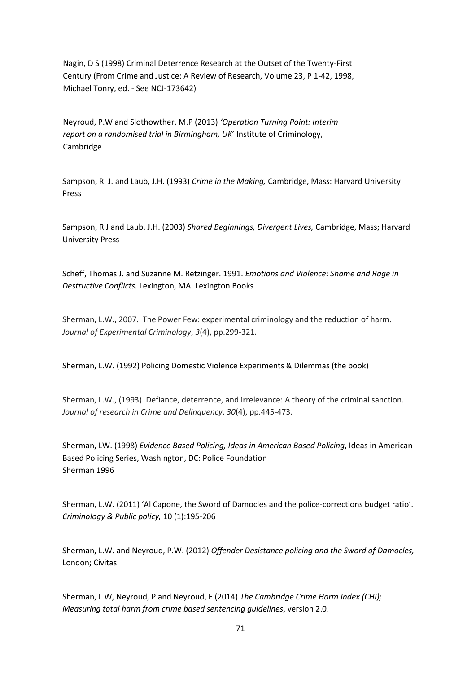Nagin, D S (1998) Criminal Deterrence Research at the Outset of the Twenty-First Century (From Crime and Justice: A Review of Research, Volume 23, P 1-42, 1998, Michael Tonry, ed. - See NCJ-173642)

Neyroud, P.W and Slothowther, M.P (2013) *'Operation Turning Point: Interim report on a randomised trial in Birmingham, UK*' Institute of Criminology, Cambridge

Sampson, R. J. and Laub, J.H. (1993) *Crime in the Making,* Cambridge, Mass: Harvard University Press

Sampson, R J and Laub, J.H. (2003) *Shared Beginnings, Divergent Lives,* Cambridge, Mass; Harvard University Press

Scheff, Thomas J. and Suzanne M. Retzinger. 1991. *Emotions and Violence: Shame and Rage in Destructive Conflicts.* Lexington, MA: Lexington Books

Sherman, L.W., 2007. The Power Few: experimental criminology and the reduction of harm. *Journal of Experimental Criminology*, *3*(4), pp.299-321.

Sherman, L.W. (1992) Policing Domestic Violence Experiments & Dilemmas (the book)

Sherman, L.W., (1993). Defiance, deterrence, and irrelevance: A theory of the criminal sanction. *Journal of research in Crime and Delinquency*, *30*(4), pp.445-473.

Sherman, LW. (1998) *Evidence Based Policing, Ideas in American Based Policing*, Ideas in American Based Policing Series, Washington, DC: Police Foundation Sherman 1996

Sherman, L.W. (2011) 'Al Capone, the Sword of Damocles and the police-corrections budget ratio'. *Criminology & Public policy,* 10 (1):195-206

Sherman, L.W. and Neyroud, P.W. (2012) *Offender Desistance policing and the Sword of Damocles,*  London; Civitas

Sherman, L W, Neyroud, P and Neyroud, E (2014) *The Cambridge Crime Harm Index (CHI); Measuring total harm from crime based sentencing guidelines*, version 2.0.